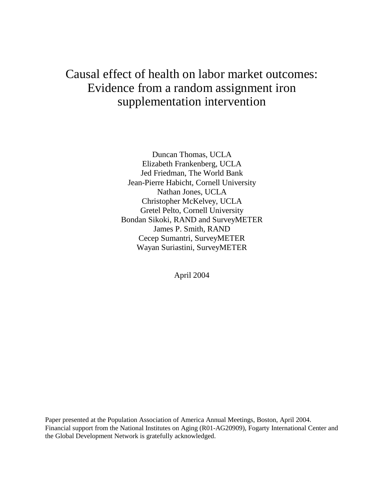# Causal effect of health on labor market outcomes: Evidence from a random assignment iron supplementation intervention

Duncan Thomas, UCLA Elizabeth Frankenberg, UCLA Jed Friedman, The World Bank Jean-Pierre Habicht, Cornell University Nathan Jones, UCLA Christopher McKelvey, UCLA Gretel Pelto, Cornell University Bondan Sikoki, RAND and SurveyMETER James P. Smith, RAND Cecep Sumantri, SurveyMETER Wayan Suriastini, SurveyMETER

April 2004

Paper presented at the Population Association of America Annual Meetings, Boston, April 2004. Financial support from the National Institutes on Aging (R01-AG20909), Fogarty International Center and the Global Development Network is gratefully acknowledged.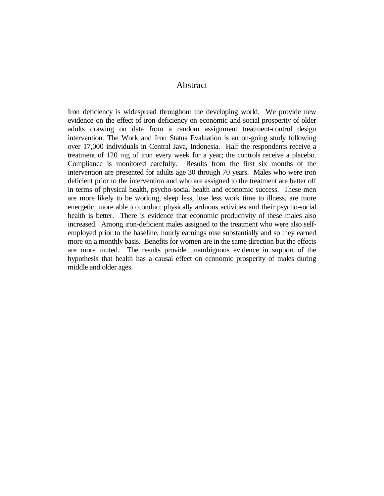### Abstract

Iron deficiency is widespread throughout the developing world. We provide new evidence on the effect of iron deficiency on economic and social prosperity of older adults drawing on data from a random assignment treatment-control design intervention. The Work and Iron Status Evaluation is an on-going study following over 17,000 individuals in Central Java, Indonesia. Half the respondents receive a treatment of 120 mg of iron every week for a year; the controls receive a placebo. Compliance is monitored carefully. Results from the first six months of the intervention are presented for adults age 30 through 70 years. Males who were iron deficient prior to the intervention and who are assigned to the treatment are better off in terms of physical health, psycho-social health and economic success. These men are more likely to be working, sleep less, lose less work time to illness, are more energetic, more able to conduct physically arduous activities and their psycho-social health is better. There is evidence that economic productivity of these males also increased. Among iron-deficient males assigned to the treatment who were also selfemployed prior to the baseline, hourly earnings rose substantially and so they earned more on a monthly basis. Benefits for women are in the same direction but the effects are more muted. The results provide unambiguous evidence in support of the hypothesis that health has a causal effect on economic prosperity of males during middle and older ages.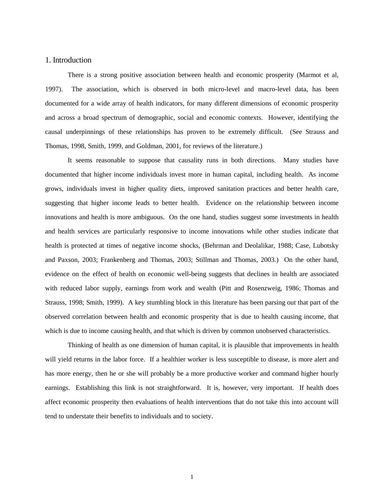#### 1. Introduction

There is a strong positive association between health and economic prosperity (Marmot et al, 1997). The association, which is observed in both micro-level and macro-level data, has been documented for a wide array of health indicators, for many different dimensions of economic prosperity and across a broad spectrum of demographic, social and economic contexts. However, identifying the causal underpinnings of these relationships has proven to be extremely difficult. (See Strauss and Thomas, 1998, Smith, 1999, and Goldman, 2001, for reviews of the literature.)

It seems reasonable to suppose that causality runs in both directions. Many studies have documented that higher income individuals invest more in human capital, including health. As income grows, individuals invest in higher quality diets, improved sanitation practices and better health care, suggesting that higher income leads to better health. Evidence on the relationship between income innovations and health is more ambiguous. On the one hand, studies suggest some investments in health and health services are particularly responsive to income innovations while other studies indicate that health is protected at times of negative income shocks, (Behrman and Deolalikar, 1988; Case, Lubotsky and Paxson, 2003; Frankenberg and Thomas, 2003; Stillman and Thomas, 2003.) On the other hand, evidence on the effect of health on economic well-being suggests that declines in health are associated with reduced labor supply, earnings from work and wealth (Pitt and Rosenzweig, 1986; Thomas and Strauss, 1998; Smith, 1999). A key stumbling block in this literature has been parsing out that part of the observed correlation between health and economic prosperity that is due to health causing income, that which is due to income causing health, and that which is driven by common unobserved characteristics.

Thinking of health as one dimension of human capital, it is plausible that improvements in health will yield returns in the labor force. If a healthier worker is less susceptible to disease, is more alert and has more energy, then he or she will probably be a more productive worker and command higher hourly earnings. Establishing this link is not straightforward. It is, however, very important. If health does affect economic prosperity then evaluations of health interventions that do not take this into account will tend to understate their benefits to individuals and to society.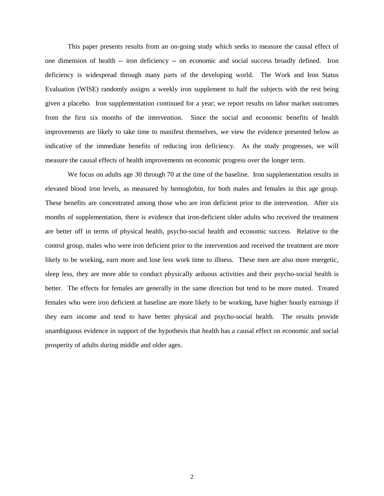This paper presents results from an on-going study which seeks to measure the causal effect of one dimension of health -- iron deficiency -- on economic and social success broadly defined. Iron deficiency is widespread through many parts of the developing world. The Work and Iron Status Evaluation (WISE) randomly assigns a weekly iron supplement to half the subjects with the rest being given a placebo. Iron supplementation continued for a year; we report results on labor market outcomes from the first six months of the intervention. Since the social and economic benefits of health improvements are likely to take time to manifest themselves, we view the evidence presented below as indicative of the immediate benefits of reducing iron deficiency. As the study progresses, we will measure the causal effects of health improvements on economic progress over the longer term.

We focus on adults age 30 through 70 at the time of the baseline. Iron supplementation results in elevated blood iron levels, as measured by hemoglobin, for both males and females in this age group. These benefits are concentrated among those who are iron deficient prior to the intervention. After six months of supplementation, there is evidence that iron-deficient older adults who received the treatment are better off in terms of physical health, psycho-social health and economic success. Relative to the control group, males who were iron deficient prior to the intervention and received the treatment are more likely to be working, earn more and lose less work time to illness. These men are also more energetic, sleep less, they are more able to conduct physically arduous activities and their psycho-social health is better. The effects for females are generally in the same direction but tend to be more muted. Treated females who were iron deficient at baseline are more likely to be working, have higher hourly earnings if they earn income and tend to have better physical and psycho-social health. The results provide unambiguous evidence in support of the hypothesis that health has a causal effect on economic and social prosperity of adults during middle and older ages.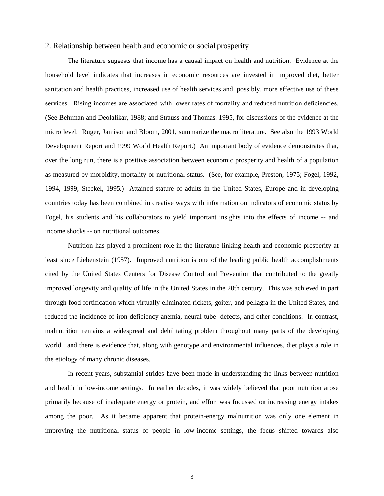#### 2. Relationship between health and economic or social prosperity

The literature suggests that income has a causal impact on health and nutrition. Evidence at the household level indicates that increases in economic resources are invested in improved diet, better sanitation and health practices, increased use of health services and, possibly, more effective use of these services. Rising incomes are associated with lower rates of mortality and reduced nutrition deficiencies. (See Behrman and Deolalikar, 1988; and Strauss and Thomas, 1995, for discussions of the evidence at the micro level. Ruger, Jamison and Bloom, 2001, summarize the macro literature. See also the 1993 World Development Report and 1999 World Health Report.) An important body of evidence demonstrates that, over the long run, there is a positive association between economic prosperity and health of a population as measured by morbidity, mortality or nutritional status. (See, for example, Preston, 1975; Fogel, 1992, 1994, 1999; Steckel, 1995.) Attained stature of adults in the United States, Europe and in developing countries today has been combined in creative ways with information on indicators of economic status by Fogel, his students and his collaborators to yield important insights into the effects of income -- and income shocks -- on nutritional outcomes.

Nutrition has played a prominent role in the literature linking health and economic prosperity at least since Liebenstein (1957). Improved nutrition is one of the leading public health accomplishments cited by the United States Centers for Disease Control and Prevention that contributed to the greatly improved longevity and quality of life in the United States in the 20th century. This was achieved in part through food fortification which virtually eliminated rickets, goiter, and pellagra in the United States, and reduced the incidence of iron deficiency anemia, neural tube defects, and other conditions. In contrast, malnutrition remains a widespread and debilitating problem throughout many parts of the developing world. and there is evidence that, along with genotype and environmental influences, diet plays a role in the etiology of many chronic diseases.

In recent years, substantial strides have been made in understanding the links between nutrition and health in low-income settings. In earlier decades, it was widely believed that poor nutrition arose primarily because of inadequate energy or protein, and effort was focussed on increasing energy intakes among the poor. As it became apparent that protein-energy malnutrition was only one element in improving the nutritional status of people in low-income settings, the focus shifted towards also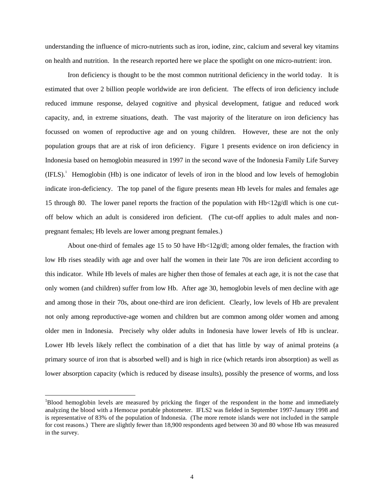understanding the influence of micro-nutrients such as iron, iodine, zinc, calcium and several key vitamins on health and nutrition. In the research reported here we place the spotlight on one micro-nutrient: iron.

Iron deficiency is thought to be the most common nutritional deficiency in the world today. It is estimated that over 2 billion people worldwide are iron deficient. The effects of iron deficiency include reduced immune response, delayed cognitive and physical development, fatigue and reduced work capacity, and, in extreme situations, death. The vast majority of the literature on iron deficiency has focussed on women of reproductive age and on young children. However, these are not the only population groups that are at risk of iron deficiency. Figure 1 presents evidence on iron deficiency in Indonesia based on hemoglobin measured in 1997 in the second wave of the Indonesia Family Life Survey (IFLS). <sup>1</sup> Hemoglobin (Hb) is one indicator of levels of iron in the blood and low levels of hemoglobin indicate iron-deficiency. The top panel of the figure presents mean Hb levels for males and females age 15 through 80. The lower panel reports the fraction of the population with Hb<12g/dl which is one cutoff below which an adult is considered iron deficient. (The cut-off applies to adult males and nonpregnant females; Hb levels are lower among pregnant females.)

About one-third of females age 15 to 50 have Hb<12g/dl; among older females, the fraction with low Hb rises steadily with age and over half the women in their late 70s are iron deficient according to this indicator. While Hb levels of males are higher then those of females at each age, it is not the case that only women (and children) suffer from low Hb. After age 30, hemoglobin levels of men decline with age and among those in their 70s, about one-third are iron deficient. Clearly, low levels of Hb are prevalent not only among reproductive-age women and children but are common among older women and among older men in Indonesia. Precisely why older adults in Indonesia have lower levels of Hb is unclear. Lower Hb levels likely reflect the combination of a diet that has little by way of animal proteins (a primary source of iron that is absorbed well) and is high in rice (which retards iron absorption) as well as lower absorption capacity (which is reduced by disease insults), possibly the presence of worms, and loss

<sup>&</sup>lt;sup>1</sup>Blood hemoglobin levels are measured by pricking the finger of the respondent in the home and immediately analyzing the blood with a Hemocue portable photometer. IFLS2 was fielded in September 1997-January 1998 and is representative of 83% of the population of Indonesia. (The more remote islands were not included in the sample for cost reasons.) There are slightly fewer than 18,900 respondents aged between 30 and 80 whose Hb was measured in the survey.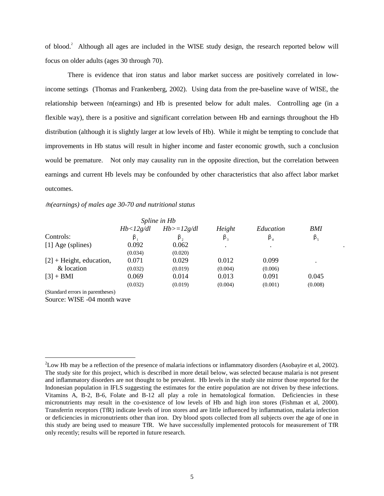of blood.<sup>2</sup> Although all ages are included in the WISE study design, the research reported below will focus on older adults (ages 30 through 70).

There is evidence that iron status and labor market success are positively correlated in lowincome settings (Thomas and Frankenberg, 2002). Using data from the pre-baseline wave of WISE, the relationship between  $ln(earnings)$  and Hb is presented below for adult males. Controlling age (in a flexible way), there is a positive and significant correlation between Hb and earnings throughout the Hb distribution (although it is slightly larger at low levels of Hb). While it might be tempting to conclude that improvements in Hb status will result in higher income and faster economic growth, such a conclusion would be premature. Not only may causality run in the opposite direction, but the correlation between earnings and current Hb levels may be confounded by other characteristics that also affect labor market outcomes.

#### *n(earnings) of males age 30-70 and nutritional status*

|                                  |           | Spline in Hb |             |             |             |  |
|----------------------------------|-----------|--------------|-------------|-------------|-------------|--|
|                                  | Hb<12g/dl | $Hb>=12g/dl$ | Height      | Education   | BMI         |  |
| Controls:                        | β         | $\beta$ ,    | $\beta_{3}$ | $\beta_{4}$ | $\beta_{5}$ |  |
| [1] Age (splines)                | 0.092     | 0.062        | $\bullet$   | $\bullet$   |             |  |
|                                  | (0.034)   | (0.020)      |             |             |             |  |
| $[2]$ + Height, education,       | 0.071     | 0.029        | 0.012       | 0.099       | $\bullet$   |  |
| & location                       | (0.032)   | (0.019)      | (0.004)     | (0.006)     |             |  |
| $[3] + BMI$                      | 0.069     | 0.014        | 0.013       | 0.091       | 0.045       |  |
|                                  | (0.032)   | (0.019)      | (0.004)     | (0.001)     | (0.008)     |  |
| (Standard errors in parentheses) |           |              |             |             |             |  |

Source: WISE -04 month wave

 $2$ Low Hb may be a reflection of the presence of malaria infections or inflammatory disorders (Asobayire et al, 2002). The study site for this project, which is described in more detail below, was selected because malaria is not present and inflammatory disorders are not thought to be prevalent. Hb levels in the study site mirror those reported for the Indonesian population in IFLS suggesting the estimates for the entire population are not driven by these infections. Vitamins A, B-2, B-6, Folate and B-12 all play a role in hematological formation. Deficiencies in these micronutrients may result in the co-existence of low levels of Hb and high iron stores (Fishman et al, 2000). Transferrin receptors (TfR) indicate levels of iron stores and are little influenced by inflammation, malaria infection or deficiencies in micronutrients other than iron. Dry blood spots collected from all subjects over the age of one in this study are being used to measure TfR. We have successfully implemented protocols for measurement of TfR only recently; results will be reported in future research.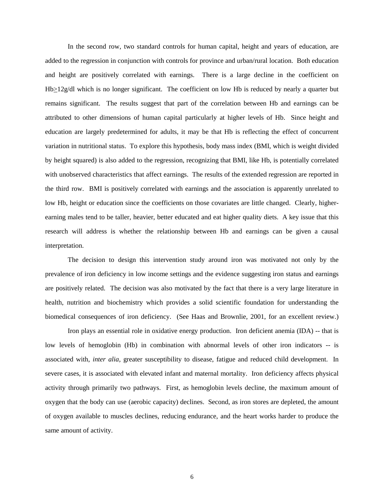In the second row, two standard controls for human capital, height and years of education, are added to the regression in conjunction with controls for province and urban/rural location. Both education and height are positively correlated with earnings. There is a large decline in the coefficient on  $Hb \geq 12g/dl$  which is no longer significant. The coefficient on low Hb is reduced by nearly a quarter but remains significant. The results suggest that part of the correlation between Hb and earnings can be attributed to other dimensions of human capital particularly at higher levels of Hb. Since height and education are largely predetermined for adults, it may be that Hb is reflecting the effect of concurrent variation in nutritional status. To explore this hypothesis, body mass index (BMI, which is weight divided by height squared) is also added to the regression, recognizing that BMI, like Hb, is potentially correlated with unobserved characteristics that affect earnings. The results of the extended regression are reported in the third row. BMI is positively correlated with earnings and the association is apparently unrelated to low Hb, height or education since the coefficients on those covariates are little changed. Clearly, higherearning males tend to be taller, heavier, better educated and eat higher quality diets. A key issue that this research will address is whether the relationship between Hb and earnings can be given a causal interpretation.

The decision to design this intervention study around iron was motivated not only by the prevalence of iron deficiency in low income settings and the evidence suggesting iron status and earnings are positively related. The decision was also motivated by the fact that there is a very large literature in health, nutrition and biochemistry which provides a solid scientific foundation for understanding the biomedical consequences of iron deficiency. (See Haas and Brownlie, 2001, for an excellent review.)

Iron plays an essential role in oxidative energy production. Iron deficient anemia (IDA) -- that is low levels of hemoglobin (Hb) in combination with abnormal levels of other iron indicators -- is associated with, *inter alia,* greater susceptibility to disease, fatigue and reduced child development. In severe cases, it is associated with elevated infant and maternal mortality. Iron deficiency affects physical activity through primarily two pathways. First, as hemoglobin levels decline, the maximum amount of oxygen that the body can use (aerobic capacity) declines. Second, as iron stores are depleted, the amount of oxygen available to muscles declines, reducing endurance, and the heart works harder to produce the same amount of activity.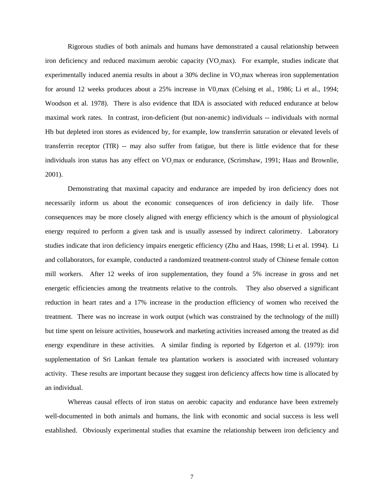Rigorous studies of both animals and humans have demonstrated a causal relationship between iron deficiency and reduced maximum aerobic capacity (VO,max). For example, studies indicate that experimentally induced anemia results in about a 30% decline in VO max whereas iron supplementation for around 12 weeks produces about a 25% increase in V0, max (Celsing et al., 1986; Li et al., 1994; Woodson et al. 1978). There is also evidence that IDA is associated with reduced endurance at below maximal work rates. In contrast, iron-deficient (but non-anemic) individuals -- individuals with normal Hb but depleted iron stores as evidenced by, for example, low transferrin saturation or elevated levels of transferrin receptor (TfR) -- may also suffer from fatigue, but there is little evidence that for these individuals iron status has any effect on VO max or endurance, (Scrimshaw, 1991; Haas and Brownlie, 2001).

Demonstrating that maximal capacity and endurance are impeded by iron deficiency does not necessarily inform us about the economic consequences of iron deficiency in daily life. Those consequences may be more closely aligned with energy efficiency which is the amount of physiological energy required to perform a given task and is usually assessed by indirect calorimetry. Laboratory studies indicate that iron deficiency impairs energetic efficiency (Zhu and Haas, 1998; Li et al. 1994). Li and collaborators, for example, conducted a randomized treatment-control study of Chinese female cotton mill workers. After 12 weeks of iron supplementation, they found a 5% increase in gross and net energetic efficiencies among the treatments relative to the controls. They also observed a significant reduction in heart rates and a 17% increase in the production efficiency of women who received the treatment. There was no increase in work output (which was constrained by the technology of the mill) but time spent on leisure activities, housework and marketing activities increased among the treated as did energy expenditure in these activities. A similar finding is reported by Edgerton et al. (1979): iron supplementation of Sri Lankan female tea plantation workers is associated with increased voluntary activity. These results are important because they suggest iron deficiency affects how time is allocated by an individual.

Whereas causal effects of iron status on aerobic capacity and endurance have been extremely well-documented in both animals and humans, the link with economic and social success is less well established. Obviously experimental studies that examine the relationship between iron deficiency and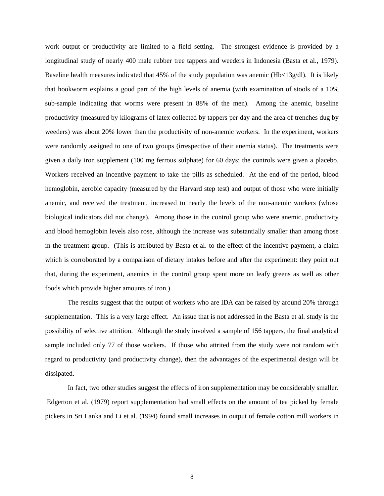work output or productivity are limited to a field setting. The strongest evidence is provided by a longitudinal study of nearly 400 male rubber tree tappers and weeders in Indonesia (Basta et al., 1979). Baseline health measures indicated that 45% of the study population was anemic (Hb<13g/dl). It is likely that hookworm explains a good part of the high levels of anemia (with examination of stools of a 10% sub-sample indicating that worms were present in 88% of the men). Among the anemic, baseline productivity (measured by kilograms of latex collected by tappers per day and the area of trenches dug by weeders) was about 20% lower than the productivity of non-anemic workers. In the experiment, workers were randomly assigned to one of two groups (irrespective of their anemia status). The treatments were given a daily iron supplement (100 mg ferrous sulphate) for 60 days; the controls were given a placebo. Workers received an incentive payment to take the pills as scheduled. At the end of the period, blood hemoglobin, aerobic capacity (measured by the Harvard step test) and output of those who were initially anemic, and received the treatment, increased to nearly the levels of the non-anemic workers (whose biological indicators did not change). Among those in the control group who were anemic, productivity and blood hemoglobin levels also rose, although the increase was substantially smaller than among those in the treatment group. (This is attributed by Basta et al. to the effect of the incentive payment, a claim which is corroborated by a comparison of dietary intakes before and after the experiment: they point out that, during the experiment, anemics in the control group spent more on leafy greens as well as other foods which provide higher amounts of iron.)

The results suggest that the output of workers who are IDA can be raised by around 20% through supplementation. This is a very large effect. An issue that is not addressed in the Basta et al. study is the possibility of selective attrition. Although the study involved a sample of 156 tappers, the final analytical sample included only 77 of those workers. If those who attrited from the study were not random with regard to productivity (and productivity change), then the advantages of the experimental design will be dissipated.

In fact, two other studies suggest the effects of iron supplementation may be considerably smaller. Edgerton et al. (1979) report supplementation had small effects on the amount of tea picked by female pickers in Sri Lanka and Li et al. (1994) found small increases in output of female cotton mill workers in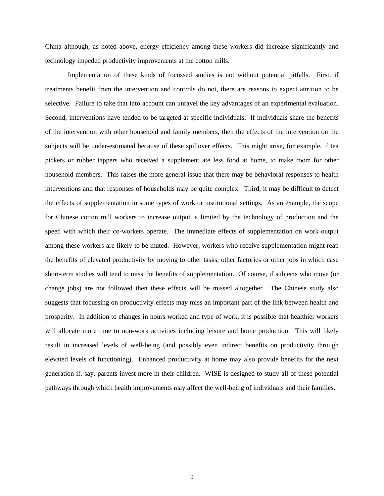China although, as noted above, energy efficiency among these workers did increase significantly and technology impeded productivity improvements at the cotton mills.

Implementation of these kinds of focussed studies is not without potential pitfalls. First, if treatments benefit from the intervention and controls do not, there are reasons to expect attrition to be selective. Failure to take that into account can unravel the key advantages of an experimental evaluation. Second, interventions have tended to be targeted at specific individuals. If individuals share the benefits of the intervention with other household and family members, then the effects of the intervention on the subjects will be under-estimated because of these spillover effects. This might arise, for example, if tea pickers or rubber tappers who received a supplement ate less food at home, to make room for other household members. This raises the more general issue that there may be behavioral responses to health interventions and that responses of households may be quite complex. Third, it may be difficult to detect the effects of supplementation in some types of work or institutional settings. As an example, the scope for Chinese cotton mill workers to increase output is limited by the technology of production and the speed with which their co-workers operate. The immediate effects of supplementation on work output among these workers are likely to be muted. However, workers who receive supplementation might reap the benefits of elevated productivity by moving to other tasks, other factories or other jobs in which case short-term studies will tend to miss the benefits of supplementation. Of course, if subjects who move (or change jobs) are not followed then these effects will be missed altogether. The Chinese study also suggests that focussing on productivity effects may miss an important part of the link between health and prosperity. In addition to changes in hours worked and type of work, it is possible that healthier workers will allocate more time to non-work activities including leisure and home production. This will likely result in increased levels of well-being (and possibly even indirect benefits on productivity through elevated levels of functioning). Enhanced productivity at home may also provide benefits for the next generation if, say, parents invest more in their children. WISE is designed to study all of these potential pathways through which health improvements may affect the well-being of individuals and their families.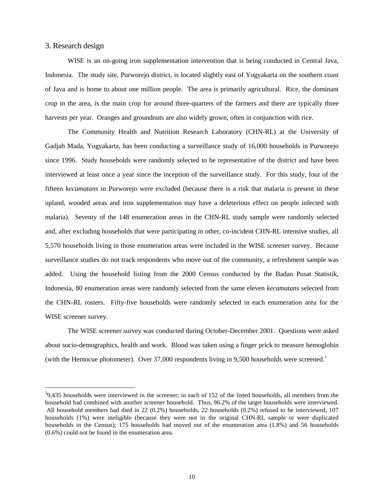#### 3. Research design

WISE is an on-going iron supplementation intervention that is being conducted in Central Java, Indonesia. The study site, Purworejo district, is located slightly east of Yogyakarta on the southern coast of Java and is home to about one million people. The area is primarily agricultural. Rice, the dominant crop in the area, is the main crop for around three-quarters of the farmers and there are typically three harvests per year. Oranges and groundnuts are also widely grown, often in conjunction with rice.

The Community Health and Nutrition Research Laboratory (CHN-RL) at the University of Gadjah Mada, Yogyakarta, has been conducting a surveillance study of 16,000 households in Purworejo since 1996. Study households were randomly selected to be representative of the district and have been interviewed at least once a year since the inception of the surveillance study. For this study, four of the fifteen *kecamatans* in Purworejo were excluded (because there is a risk that malaria is present in these upland, wooded areas and iron supplementation may have a deleterious effect on people infected with malaria). Seventy of the 148 enumeration areas in the CHN-RL study sample were randomly selected and, after excluding households that were participating in other, co-incident CHN-RL intensive studies, all 5,570 households living in those enumeration areas were included in the WISE screener survey. Because surveillance studies do not track respondents who move out of the community, a refreshment sample was added. Using the household listing from the 2000 Census conducted by the Badan Pusat Statistik, Indonesia, 80 enumeration areas were randomly selected from the same eleven *kecamatans* selected from the CHN-RL rosters. Fifty-five households were randomly selected in each enumeration area for the WISE screener survey.

The WISE screener survey was conducted during October-December 2001. Questions were asked about socio-demographics, health and work. Blood was taken using a finger prick to measure hemoglobin (with the Hemocue photometer). Over 37,000 respondents living in 9,500 households were screened.<sup>3</sup>

 $39,435$  households were interviewed in the screener; in each of 152 of the listed households, all members from the household had combined with another screener household. Thus, 96.2% of the target households were interviewed. All household members had died in 22 (0.2%) households, 22 households (0.2%) refused to be interviewed, 107 households (1%) were ineligible (because they were not in the original CHN-RL sample or were duplicated households in the Census); 175 households had moved out of the enumeration area (1.8%) and 56 households (0.6%) could not be found in the enumeration area.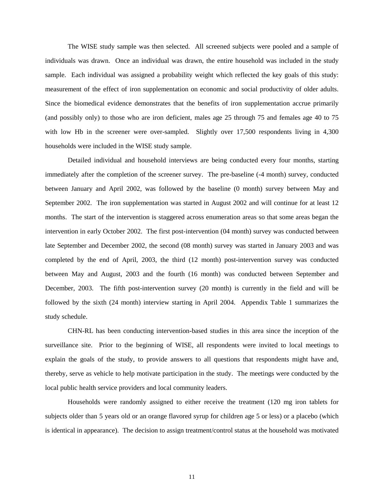The WISE study sample was then selected. All screened subjects were pooled and a sample of individuals was drawn. Once an individual was drawn, the entire household was included in the study sample. Each individual was assigned a probability weight which reflected the key goals of this study: measurement of the effect of iron supplementation on economic and social productivity of older adults. Since the biomedical evidence demonstrates that the benefits of iron supplementation accrue primarily (and possibly only) to those who are iron deficient, males age 25 through 75 and females age 40 to 75 with low Hb in the screener were over-sampled. Slightly over 17,500 respondents living in 4,300 households were included in the WISE study sample.

Detailed individual and household interviews are being conducted every four months, starting immediately after the completion of the screener survey. The pre-baseline (-4 month) survey, conducted between January and April 2002, was followed by the baseline (0 month) survey between May and September 2002. The iron supplementation was started in August 2002 and will continue for at least 12 months. The start of the intervention is staggered across enumeration areas so that some areas began the intervention in early October 2002. The first post-intervention (04 month) survey was conducted between late September and December 2002, the second (08 month) survey was started in January 2003 and was completed by the end of April, 2003, the third (12 month) post-intervention survey was conducted between May and August, 2003 and the fourth (16 month) was conducted between September and December, 2003. The fifth post-intervention survey (20 month) is currently in the field and will be followed by the sixth (24 month) interview starting in April 2004. Appendix Table 1 summarizes the study schedule.

CHN-RL has been conducting intervention-based studies in this area since the inception of the surveillance site. Prior to the beginning of WISE, all respondents were invited to local meetings to explain the goals of the study, to provide answers to all questions that respondents might have and, thereby, serve as vehicle to help motivate participation in the study. The meetings were conducted by the local public health service providers and local community leaders.

Households were randomly assigned to either receive the treatment (120 mg iron tablets for subjects older than 5 years old or an orange flavored syrup for children age 5 or less) or a placebo (which is identical in appearance). The decision to assign treatment/control status at the household was motivated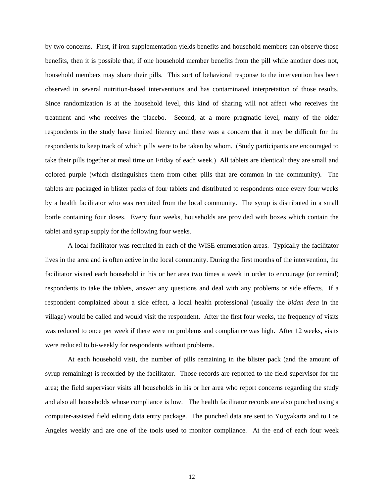by two concerns. First, if iron supplementation yields benefits and household members can observe those benefits, then it is possible that, if one household member benefits from the pill while another does not, household members may share their pills. This sort of behavioral response to the intervention has been observed in several nutrition-based interventions and has contaminated interpretation of those results. Since randomization is at the household level, this kind of sharing will not affect who receives the treatment and who receives the placebo. Second, at a more pragmatic level, many of the older respondents in the study have limited literacy and there was a concern that it may be difficult for the respondents to keep track of which pills were to be taken by whom. (Study participants are encouraged to take their pills together at meal time on Friday of each week.) All tablets are identical: they are small and colored purple (which distinguishes them from other pills that are common in the community). The tablets are packaged in blister packs of four tablets and distributed to respondents once every four weeks by a health facilitator who was recruited from the local community. The syrup is distributed in a small bottle containing four doses. Every four weeks, households are provided with boxes which contain the tablet and syrup supply for the following four weeks.

A local facilitator was recruited in each of the WISE enumeration areas. Typically the facilitator lives in the area and is often active in the local community. During the first months of the intervention, the facilitator visited each household in his or her area two times a week in order to encourage (or remind) respondents to take the tablets, answer any questions and deal with any problems or side effects. If a respondent complained about a side effect, a local health professional (usually the *bidan desa* in the village) would be called and would visit the respondent. After the first four weeks, the frequency of visits was reduced to once per week if there were no problems and compliance was high. After 12 weeks, visits were reduced to bi-weekly for respondents without problems.

At each household visit, the number of pills remaining in the blister pack (and the amount of syrup remaining) is recorded by the facilitator. Those records are reported to the field supervisor for the area; the field supervisor visits all households in his or her area who report concerns regarding the study and also all households whose compliance is low. The health facilitator records are also punched using a computer-assisted field editing data entry package. The punched data are sent to Yogyakarta and to Los Angeles weekly and are one of the tools used to monitor compliance. At the end of each four week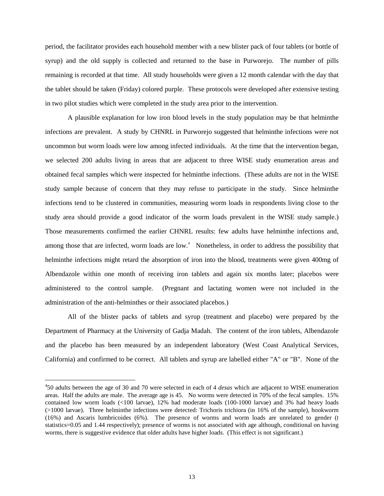period, the facilitator provides each household member with a new blister pack of four tablets (or bottle of syrup) and the old supply is collected and returned to the base in Purworejo. The number of pills remaining is recorded at that time. All study households were given a 12 month calendar with the day that the tablet should be taken (Friday) colored purple. These protocols were developed after extensive testing in two pilot studies which were completed in the study area prior to the intervention.

A plausible explanation for low iron blood levels in the study population may be that helminthe infections are prevalent. A study by CHNRL in Purworejo suggested that helminthe infections were not uncommon but worm loads were low among infected individuals. At the time that the intervention began, we selected 200 adults living in areas that are adjacent to three WISE study enumeration areas and obtained fecal samples which were inspected for helminthe infections. (These adults are not in the WISE study sample because of concern that they may refuse to participate in the study. Since helminthe infections tend to be clustered in communities, measuring worm loads in respondents living close to the study area should provide a good indicator of the worm loads prevalent in the WISE study sample.) Those measurements confirmed the earlier CHNRL results: few adults have helminthe infections and, among those that are infected, worm loads are low.<sup>4</sup> Nonetheless, in order to address the possibility that helminthe infections might retard the absorption of iron into the blood, treatments were given 400mg of Albendazole within one month of receiving iron tablets and again six months later; placebos were administered to the control sample. (Pregnant and lactating women were not included in the administration of the anti-helminthes or their associated placebos.)

All of the blister packs of tablets and syrup (treatment and placebo) were prepared by the Department of Pharmacy at the University of Gadja Madah. The content of the iron tablets, Albendazole and the placebo has been measured by an independent laboratory (West Coast Analytical Services, California) and confirmed to be correct. All tablets and syrup are labelled either "A" or "B". None of the

<sup>4</sup> 50 adults between the age of 30 and 70 were selected in each of 4 *desas* which are adjacent to WISE enumeration areas. Half the adults are male. The average age is 45. No worms were detected in 70% of the fecal samples. 15% contained low worm loads (<100 larvae), 12% had moderate loads (100-1000 larvae) and 3% had heavy loads (>1000 larvae). Three helminthe infections were detected: Trichoris trichiora (in 16% of the sample), hookworm (16%) and Ascaris lumbricoides (6%). The presence of worms and worm loads are unrelated to gender (t statistics=0.05 and 1.44 respectively); presence of worms is not associated with age although, conditional on having worms, there is suggestive evidence that older adults have higher loads. (This effect is not significant.)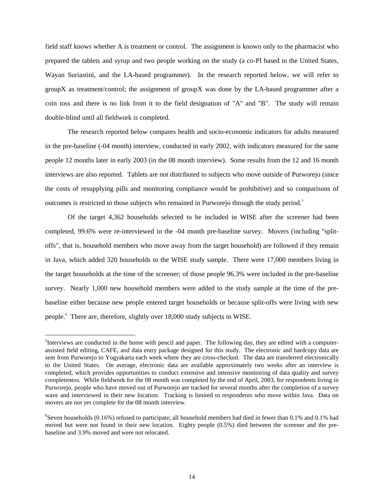field staff knows whether A is treatment or control. The assignment is known only to the pharmacist who prepared the tablets and syrup and two people working on the study (a co-PI based in the United States, Wayan Suriastini, and the LA-based programmer). In the research reported below, we will refer to groupX as treatment/control; the assignment of groupX was done by the LA-based programmer after a coin toss and there is no link from it to the field designation of "A" and "B". The study will remain double-blind until all fieldwork is completed.

The research reported below compares health and socio-economic indicators for adults measured in the pre-baseline (-04 month) interview, conducted in early 2002, with indicators measured for the same people 12 months later in early 2003 (in the 08 month interview). Some results from the 12 and 16 month interviews are also reported. Tablets are not distributed to subjects who move outside of Purworejo (since the costs of resupplying pills and monitoring compliance would be prohibitive) and so comparisons of outcomes is restricted to those subjects who remained in Purworejo through the study period.<sup>5</sup>

Of the target 4,362 households selected to be included in WISE after the screener had been completed, 99.6% were re-interviewed in the -04 month pre-baseline survey. Movers (including "splitoffs", that is, household members who move away from the target household) are followed if they remain in Java, which added 320 households to the WISE study sample. There were 17,000 members living in the target households at the time of the screener; of those people 96.3% were included in the pre-baseline survey. Nearly 1,000 new household members were added to the study sample at the time of the prebaseline either because new people entered target households or because split-offs were living with new people. 6 There are, therefore, slightly over 18,000 study subjects in WISE.

 $<sup>5</sup>$ Interviews are conducted in the home with pencil and paper. The following day, they are edited with a computer-</sup> assisted field editing, CAFE, and data entry package designed for this study. The electronic and hardcopy data are sent from Purworejo to Yogyakarta each week where they are cross-checked. The data are transferred electronically to the United States. On average, electronic data are available approximately two weeks after an interview is completed, which provides opportunities to conduct extensive and intensive monitoring of data quality and survey completeness. While fieldwork for the 08 month was completed by the end of April, 2003, for respondents living in Purworejo, people who have moved out of Purworejo are tracked for several months after the completion of a survey wave and interviewed in their new location. Tracking is limited to respondents who move within Java. Data on movers are not yet complete for the 08 month interview.

 ${}^{6}$ Seven households (0.16%) refused to participate; all household members had died in fewer than 0.1% and 0.1% had moved but were not found in their new location. Eighty people (0.5%) died between the screener and the prebaseline and 3.9% moved and were not relocated.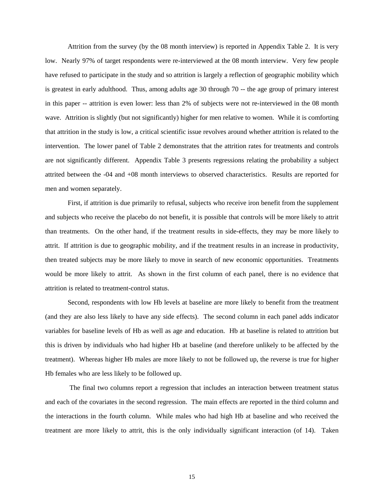Attrition from the survey (by the 08 month interview) is reported in Appendix Table 2. It is very low. Nearly 97% of target respondents were re-interviewed at the 08 month interview. Very few people have refused to participate in the study and so attrition is largely a reflection of geographic mobility which is greatest in early adulthood. Thus, among adults age 30 through 70 -- the age group of primary interest in this paper -- attrition is even lower: less than 2% of subjects were not re-interviewed in the 08 month wave. Attrition is slightly (but not significantly) higher for men relative to women. While it is comforting that attrition in the study is low, a critical scientific issue revolves around whether attrition is related to the intervention. The lower panel of Table 2 demonstrates that the attrition rates for treatments and controls are not significantly different. Appendix Table 3 presents regressions relating the probability a subject attrited between the -04 and +08 month interviews to observed characteristics. Results are reported for men and women separately.

First, if attrition is due primarily to refusal, subjects who receive iron benefit from the supplement and subjects who receive the placebo do not benefit, it is possible that controls will be more likely to attrit than treatments. On the other hand, if the treatment results in side-effects, they may be more likely to attrit. If attrition is due to geographic mobility, and if the treatment results in an increase in productivity, then treated subjects may be more likely to move in search of new economic opportunities. Treatments would be more likely to attrit. As shown in the first column of each panel, there is no evidence that attrition is related to treatment-control status.

Second, respondents with low Hb levels at baseline are more likely to benefit from the treatment (and they are also less likely to have any side effects). The second column in each panel adds indicator variables for baseline levels of Hb as well as age and education. Hb at baseline is related to attrition but this is driven by individuals who had higher Hb at baseline (and therefore unlikely to be affected by the treatment). Whereas higher Hb males are more likely to not be followed up, the reverse is true for higher Hb females who are less likely to be followed up.

The final two columns report a regression that includes an interaction between treatment status and each of the covariates in the second regression. The main effects are reported in the third column and the interactions in the fourth column. While males who had high Hb at baseline and who received the treatment are more likely to attrit, this is the only individually significant interaction (of 14). Taken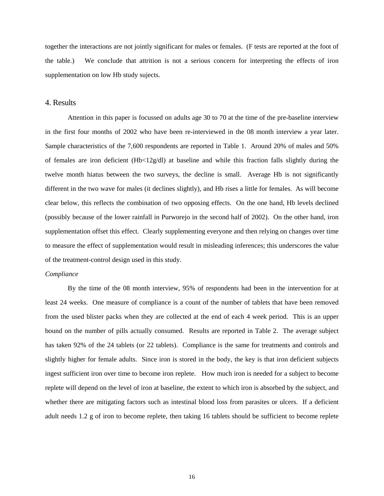together the interactions are not jointly significant for males or females. (F tests are reported at the foot of the table.) We conclude that attrition is not a serious concern for interpreting the effects of iron supplementation on low Hb study sujects.

#### 4. Results

Attention in this paper is focussed on adults age 30 to 70 at the time of the pre-baseline interview in the first four months of 2002 who have been re-interviewed in the 08 month interview a year later. Sample characteristics of the 7,600 respondents are reported in Table 1. Around 20% of males and 50% of females are iron deficient  $(Hb<12g/dl)$  at baseline and while this fraction falls slightly during the twelve month hiatus between the two surveys, the decline is small. Average Hb is not significantly different in the two wave for males (it declines slightly), and Hb rises a little for females. As will become clear below, this reflects the combination of two opposing effects. On the one hand, Hb levels declined (possibly because of the lower rainfall in Purworejo in the second half of 2002). On the other hand, iron supplementation offset this effect. Clearly supplementing everyone and then relying on changes over time to measure the effect of supplementation would result in misleading inferences; this underscores the value of the treatment-control design used in this study.

#### *Compliance*

By the time of the 08 month interview, 95% of respondents had been in the intervention for at least 24 weeks. One measure of compliance is a count of the number of tablets that have been removed from the used blister packs when they are collected at the end of each 4 week period. This is an upper bound on the number of pills actually consumed. Results are reported in Table 2. The average subject has taken 92% of the 24 tablets (or 22 tablets). Compliance is the same for treatments and controls and slightly higher for female adults. Since iron is stored in the body, the key is that iron deficient subjects ingest sufficient iron over time to become iron replete. How much iron is needed for a subject to become replete will depend on the level of iron at baseline, the extent to which iron is absorbed by the subject, and whether there are mitigating factors such as intestinal blood loss from parasites or ulcers. If a deficient adult needs 1.2 g of iron to become replete, then taking 16 tablets should be sufficient to become replete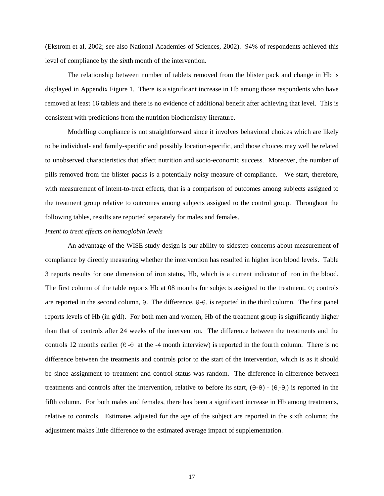(Ekstrom et al, 2002; see also National Academies of Sciences, 2002). 94% of respondents achieved this level of compliance by the sixth month of the intervention.

The relationship between number of tablets removed from the blister pack and change in Hb is displayed in Appendix Figure 1. There is a significant increase in Hb among those respondents who have removed at least 16 tablets and there is no evidence of additional benefit after achieving that level. This is consistent with predictions from the nutrition biochemistry literature.

Modelling compliance is not straightforward since it involves behavioral choices which are likely to be individual- and family-specific and possibly location-specific, and those choices may well be related to unobserved characteristics that affect nutrition and socio-economic success. Moreover, the number of pills removed from the blister packs is a potentially noisy measure of compliance. We start, therefore, with measurement of intent-to-treat effects, that is a comparison of outcomes among subjects assigned to the treatment group relative to outcomes among subjects assigned to the control group. Throughout the following tables, results are reported separately for males and females.

#### *Intent to treat effects on hemoglobin levels*

An advantage of the WISE study design is our ability to sidestep concerns about measurement of compliance by directly measuring whether the intervention has resulted in higher iron blood levels. Table 3 reports results for one dimension of iron status, Hb, which is a current indicator of iron in the blood. The first column of the table reports Hb at 08 months for subjects assigned to the treatment,  $\theta$ ; controls are reported in the second column,  $\theta$ . The difference,  $\theta$ - $\theta$ , is reported in the third column. The first panel reports levels of Hb (in g/dl). For both men and women, Hb of the treatment group is significantly higher than that of controls after 24 weeks of the intervention. The difference between the treatments and the controls 12 months earlier  $(\theta - \theta)$  at the -4 month interview) is reported in the fourth column. There is no difference between the treatments and controls prior to the start of the intervention, which is as it should be since assignment to treatment and control status was random. The difference-in-difference between treatments and controls after the intervention, relative to before its start,  $(\theta - \theta) - (\theta - \theta)$  is reported in the fifth column. For both males and females, there has been a significant increase in Hb among treatments, relative to controls. Estimates adjusted for the age of the subject are reported in the sixth column; the adjustment makes little difference to the estimated average impact of supplementation.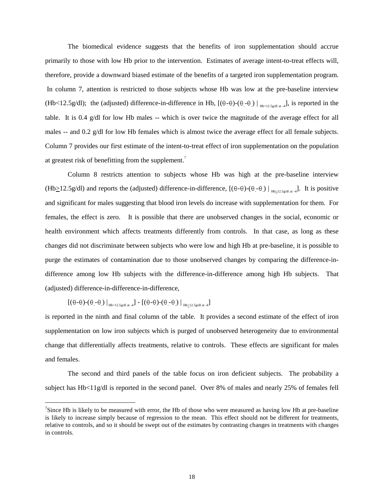The biomedical evidence suggests that the benefits of iron supplementation should accrue primarily to those with low Hb prior to the intervention. Estimates of average intent-to-treat effects will, therefore, provide a downward biased estimate of the benefits of a targeted iron supplementation program. In column 7, attention is restricted to those subjects whose Hb was low at the pre-baseline interview (Hb<12.5g/dl); the (adjusted) difference-in-difference in Hb,  $[(\theta-\theta)-(\theta-\theta)]_{H_{b<12.5g/dl at-4}}$ , is reported in the table. It is 0.4 g/dl for low Hb males -- which is over twice the magnitude of the average effect for all males -- and 0.2 g/dl for low Hb females which is almost twice the average effect for all female subjects. Column 7 provides our first estimate of the intent-to-treat effect of iron supplementation on the population at greatest risk of benefitting from the supplement.<sup>7</sup>

Column 8 restricts attention to subjects whose Hb was high at the pre-baseline interview  $(Hb \ge 12.5g/dl)$  and reports the (adjusted) difference-in-difference,  $[(\theta-\theta)-(\theta-\theta)]|_{Hb \ge 12.5g/dl at 4}]$ . It is positive and significant for males suggesting that blood iron levels do increase with supplementation for them. For females, the effect is zero. It is possible that there are unobserved changes in the social, economic or health environment which affects treatments differently from controls. In that case, as long as these changes did not discriminate between subjects who were low and high Hb at pre-baseline, it is possible to purge the estimates of contamination due to those unobserved changes by comparing the difference-indifference among low Hb subjects with the difference-in-difference among high Hb subjects. That (adjusted) difference-in-difference-in-difference,

 $[(\theta-\theta)-(\theta-\theta)]\big|_{\text{Hb}<12.5g/\text{dI at }4}]-[(\theta-\theta)-(\theta-\theta)]\big|_{\text{Hb}>12.5g/\text{dI at }4}]$ 

is reported in the ninth and final column of the table. It provides a second estimate of the effect of iron supplementation on low iron subjects which is purged of unobserved heterogeneity due to environmental change that differentially affects treatments, relative to controls. These effects are significant for males and females.

The second and third panels of the table focus on iron deficient subjects. The probability a subject has Hb<11g/dl is reported in the second panel. Over 8% of males and nearly 25% of females fell

<sup>&</sup>lt;sup>7</sup>Since Hb is likely to be measured with error, the Hb of those who were measured as having low Hb at pre-baseline is likely to increase simply because of regression to the mean. This effect should not be different for treatments, relative to controls, and so it should be swept out of the estimates by contrasting changes in treatments with changes in controls.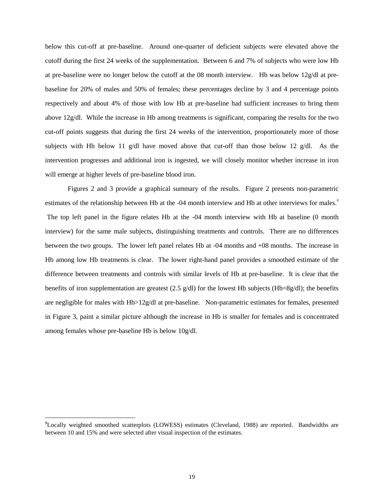below this cut-off at pre-baseline. Around one-quarter of deficient subjects were elevated above the cutoff during the first 24 weeks of the supplementation. Between 6 and 7% of subjects who were low Hb at pre-baseline were no longer below the cutoff at the 08 month interview. Hb was below 12g/dl at prebaseline for 20% of males and 50% of females; these percentages decline by 3 and 4 percentage points respectively and about 4% of those with low Hb at pre-baseline had sufficient increases to bring them above 12g/dl. While the increase in Hb among treatments is significant, comparing the results for the two cut-off points suggests that during the first 24 weeks of the intervention, proportionately more of those subjects with Hb below 11 g/dl have moved above that cut-off than those below 12 g/dl. As the intervention progresses and additional iron is ingested, we will closely monitor whether increase in iron will emerge at higher levels of pre-baseline blood iron.

Figures 2 and 3 provide a graphical summary of the results. Figure 2 presents non-parametric estimates of the relationship between Hb at the -04 month interview and Hb at other interviews for males.<sup>8</sup> The top left panel in the figure relates Hb at the -04 month interview with Hb at baseline (0 month interview) for the same male subjects, distinguishing treatments and controls. There are no differences between the two groups. The lower left panel relates Hb at -04 months and +08 months. The increase in Hb among low Hb treatments is clear. The lower right-hand panel provides a smoothed estimate of the difference between treatments and controls with similar levels of Hb at pre-baseline. It is clear that the benefits of iron supplementation are greatest (2.5  $g/dl$ ) for the lowest Hb subjects (Hb=8g/dl); the benefits are negligible for males with Hb>12g/dl at pre-baseline. Non-parametric estimates for females, presented in Figure 3, paint a similar picture although the increase in Hb is smaller for females and is concentrated among females whose pre-baseline Hb is below 10g/dl.

<sup>8</sup>Locally weighted smoothed scatterplots (LOWESS) estimates (Cleveland, 1988) are reported. Bandwidths are between 10 and 15% and were selected after visual inspection of the estimates.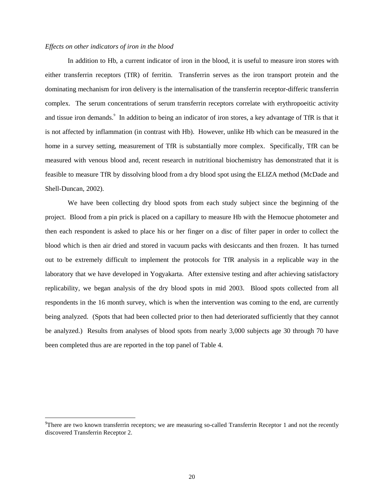#### *Effects on other indicators of iron in the blood*

In addition to Hb, a current indicator of iron in the blood, it is useful to measure iron stores with either transferrin receptors (TfR) of ferritin. Transferrin serves as the iron transport protein and the dominating mechanism for iron delivery is the internalisation of the transferrin receptor-differic transferrin complex. The serum concentrations of serum transferrin receptors correlate with erythropoeitic activity and tissue iron demands.<sup>9</sup> In addition to being an indicator of iron stores, a key advantage of TfR is that it is not affected by inflammation (in contrast with Hb). However, unlike Hb which can be measured in the home in a survey setting, measurement of TfR is substantially more complex. Specifically, TfR can be measured with venous blood and, recent research in nutritional biochemistry has demonstrated that it is feasible to measure TfR by dissolving blood from a dry blood spot using the ELIZA method (McDade and Shell-Duncan, 2002).

We have been collecting dry blood spots from each study subject since the beginning of the project. Blood from a pin prick is placed on a capillary to measure Hb with the Hemocue photometer and then each respondent is asked to place his or her finger on a disc of filter paper in order to collect the blood which is then air dried and stored in vacuum packs with desiccants and then frozen. It has turned out to be extremely difficult to implement the protocols for TfR analysis in a replicable way in the laboratory that we have developed in Yogyakarta. After extensive testing and after achieving satisfactory replicability, we began analysis of the dry blood spots in mid 2003. Blood spots collected from all respondents in the 16 month survey, which is when the intervention was coming to the end, are currently being analyzed. (Spots that had been collected prior to then had deteriorated sufficiently that they cannot be analyzed.) Results from analyses of blood spots from nearly 3,000 subjects age 30 through 70 have been completed thus are are reported in the top panel of Table 4.

 $^{9}$ There are two known transferrin receptors; we are measuring so-called Transferrin Receptor 1 and not the recently discovered Transferrin Receptor 2.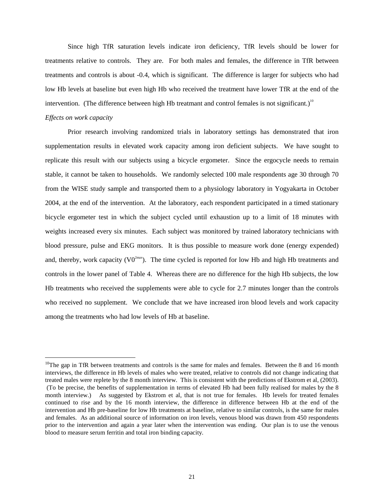Since high TfR saturation levels indicate iron deficiency, TfR levels should be lower for treatments relative to controls. They are. For both males and females, the difference in TfR between treatments and controls is about -0.4, which is significant. The difference is larger for subjects who had low Hb levels at baseline but even high Hb who received the treatment have lower TfR at the end of the intervention. (The difference between high Hb treatmant and control females is not significant.)<sup>10</sup>

#### *Effects on work capacity*

Prior research involving randomized trials in laboratory settings has demonstrated that iron supplementation results in elevated work capacity among iron deficient subjects. We have sought to replicate this result with our subjects using a bicycle ergometer. Since the ergocycle needs to remain stable, it cannot be taken to households. We randomly selected 100 male respondents age 30 through 70 from the WISE study sample and transported them to a physiology laboratory in Yogyakarta in October 2004, at the end of the intervention. At the laboratory, each respondent participated in a timed stationary bicycle ergometer test in which the subject cycled until exhaustion up to a limit of 18 minutes with weights increased every six minutes. Each subject was monitored by trained laboratory technicians with blood pressure, pulse and EKG monitors. It is thus possible to measure work done (energy expended) and, thereby, work capacity ( $V0^{2max}$ ). The time cycled is reported for low Hb and high Hb treatments and controls in the lower panel of Table 4. Whereas there are no difference for the high Hb subjects, the low Hb treatments who received the supplements were able to cycle for 2.7 minutes longer than the controls who received no supplement. We conclude that we have increased iron blood levels and work capacity among the treatments who had low levels of Hb at baseline.

<sup>&</sup>lt;sup>10</sup>The gap in TfR between treatments and controls is the same for males and females. Between the 8 and 16 month interviews, the difference in Hb levels of males who were treated, relative to controls did not change indicating that treated males were replete by the 8 month interview. This is consistent with the predictions of Ekstrom et al, (2003). (To be precise, the benefits of supplementation in terms of elevated Hb had been fully realised for males by the 8 month interview.) As suggested by Ekstrom et al, that is not true for females. Hb levels for treated females continued to rise and by the 16 month interview, the difference in difference between Hb at the end of the intervention and Hb pre-baseline for low Hb treatments at baseline, relative to similar controls, is the same for males and females. As an additional source of information on iron levels, venous blood was drawn from 450 respondents prior to the intervention and again a year later when the intervention was ending. Our plan is to use the venous blood to measure serum ferritin and total iron binding capacity.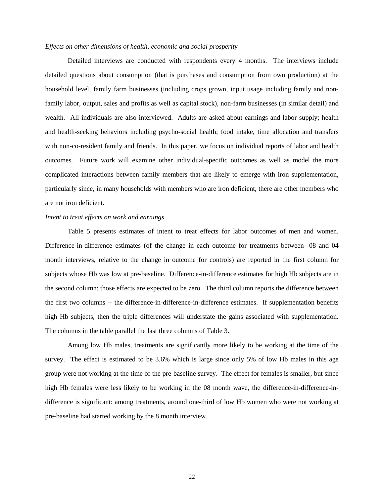#### *Effects on other dimensions of health, economic and social prosperity*

Detailed interviews are conducted with respondents every 4 months. The interviews include detailed questions about consumption (that is purchases and consumption from own production) at the household level, family farm businesses (including crops grown, input usage including family and nonfamily labor, output, sales and profits as well as capital stock), non-farm businesses (in similar detail) and wealth. All individuals are also interviewed. Adults are asked about earnings and labor supply; health and health-seeking behaviors including psycho-social health; food intake, time allocation and transfers with non-co-resident family and friends. In this paper, we focus on individual reports of labor and health outcomes. Future work will examine other individual-specific outcomes as well as model the more complicated interactions between family members that are likely to emerge with iron supplementation, particularly since, in many households with members who are iron deficient, there are other members who are not iron deficient.

#### *Intent to treat effects on work and earnings*

Table 5 presents estimates of intent to treat effects for labor outcomes of men and women. Difference-in-difference estimates (of the change in each outcome for treatments between -08 and 04 month interviews, relative to the change in outcome for controls) are reported in the first column for subjects whose Hb was low at pre-baseline. Difference-in-difference estimates for high Hb subjects are in the second column: those effects are expected to be zero. The third column reports the difference between the first two columns -- the difference-in-difference-in-difference estimates. If supplementation benefits high Hb subjects, then the triple differences will understate the gains associated with supplementation. The columns in the table parallel the last three columns of Table 3.

Among low Hb males, treatments are significantly more likely to be working at the time of the survey. The effect is estimated to be 3.6% which is large since only 5% of low Hb males in this age group were not working at the time of the pre-baseline survey. The effect for females is smaller, but since high Hb females were less likely to be working in the 08 month wave, the difference-in-difference-indifference is significant: among treatments, around one-third of low Hb women who were not working at pre-baseline had started working by the 8 month interview.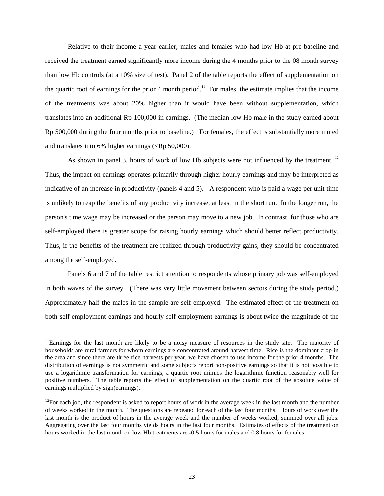Relative to their income a year earlier, males and females who had low Hb at pre-baseline and received the treatment earned significantly more income during the 4 months prior to the 08 month survey than low Hb controls (at a 10% size of test). Panel 2 of the table reports the effect of supplementation on the quartic root of earnings for the prior 4 month period.<sup>11</sup> For males, the estimate implies that the income of the treatments was about 20% higher than it would have been without supplementation, which translates into an additional Rp 100,000 in earnings. (The median low Hb male in the study earned about Rp 500,000 during the four months prior to baseline.) For females, the effect is substantially more muted and translates into 6% higher earnings  $(**Rp** 50,000)$ .

As shown in panel 3, hours of work of low Hb subjects were not influenced by the treatment.<sup>12</sup> Thus, the impact on earnings operates primarily through higher hourly earnings and may be interpreted as indicative of an increase in productivity (panels 4 and 5). A respondent who is paid a wage per unit time is unlikely to reap the benefits of any productivity increase, at least in the short run. In the longer run, the person's time wage may be increased or the person may move to a new job. In contrast, for those who are self-employed there is greater scope for raising hourly earnings which should better reflect productivity. Thus, if the benefits of the treatment are realized through productivity gains, they should be concentrated among the self-employed.

Panels 6 and 7 of the table restrict attention to respondents whose primary job was self-employed in both waves of the survey. (There was very little movement between sectors during the study period.) Approximately half the males in the sample are self-employed. The estimated effect of the treatment on both self-employment earnings and hourly self-employment earnings is about twice the magnitude of the

<sup>&</sup>lt;sup>11</sup>Earnings for the last month are likely to be a noisy measure of resources in the study site. The majority of households are rural farmers for whom earnings are concentrated around harvest time. Rice is the dominant crop in the area and since there are three rice harvests per year, we have chosen to use income for the prior 4 months. The distribution of earnings is not symmetric and some subjects report non-positive earnings so that it is not possible to use a logarithmic transformation for earnings; a quartic root mimics the logarithmic function reasonably well for positive numbers. The table reports the effect of supplementation on the quartic root of the absolute value of earnings multiplied by sign(earnings).

 $12$  For each job, the respondent is asked to report hours of work in the average week in the last month and the number of weeks worked in the month. The questions are repeated for each of the last four months. Hours of work over the last month is the product of hours in the average week and the number of weeks worked, summed over all jobs. Aggregating over the last four months yields hours in the last four months. Estimates of effects of the treatment on hours worked in the last month on low Hb treatments are -0.5 hours for males and 0.8 hours for females.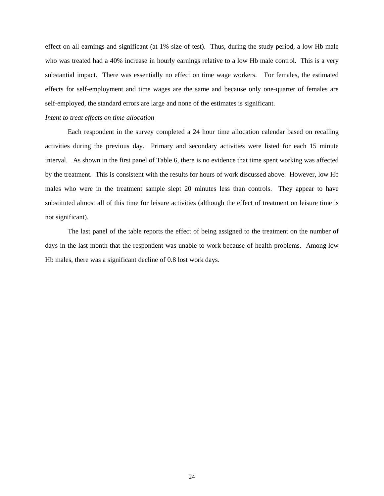effect on all earnings and significant (at 1% size of test). Thus, during the study period, a low Hb male who was treated had a 40% increase in hourly earnings relative to a low Hb male control. This is a very substantial impact. There was essentially no effect on time wage workers. For females, the estimated effects for self-employment and time wages are the same and because only one-quarter of females are self-employed, the standard errors are large and none of the estimates is significant.

#### *Intent to treat effects on time allocation*

Each respondent in the survey completed a 24 hour time allocation calendar based on recalling activities during the previous day. Primary and secondary activities were listed for each 15 minute interval. As shown in the first panel of Table 6, there is no evidence that time spent working was affected by the treatment. This is consistent with the results for hours of work discussed above. However, low Hb males who were in the treatment sample slept 20 minutes less than controls. They appear to have substituted almost all of this time for leisure activities (although the effect of treatment on leisure time is not significant).

The last panel of the table reports the effect of being assigned to the treatment on the number of days in the last month that the respondent was unable to work because of health problems. Among low Hb males, there was a significant decline of 0.8 lost work days.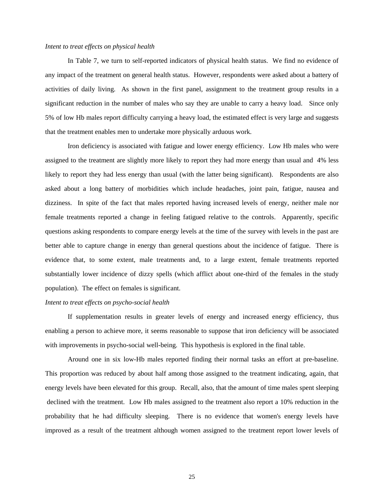#### *Intent to treat effects on physical health*

In Table 7, we turn to self-reported indicators of physical health status. We find no evidence of any impact of the treatment on general health status. However, respondents were asked about a battery of activities of daily living. As shown in the first panel, assignment to the treatment group results in a significant reduction in the number of males who say they are unable to carry a heavy load. Since only 5% of low Hb males report difficulty carrying a heavy load, the estimated effect is very large and suggests that the treatment enables men to undertake more physically arduous work.

Iron deficiency is associated with fatigue and lower energy efficiency. Low Hb males who were assigned to the treatment are slightly more likely to report they had more energy than usual and 4% less likely to report they had less energy than usual (with the latter being significant). Respondents are also asked about a long battery of morbidities which include headaches, joint pain, fatigue, nausea and dizziness. In spite of the fact that males reported having increased levels of energy, neither male nor female treatments reported a change in feeling fatigued relative to the controls. Apparently, specific questions asking respondents to compare energy levels at the time of the survey with levels in the past are better able to capture change in energy than general questions about the incidence of fatigue. There is evidence that, to some extent, male treatments and, to a large extent, female treatments reported substantially lower incidence of dizzy spells (which afflict about one-third of the females in the study population). The effect on females is significant.

#### *Intent to treat effects on psycho-social health*

If supplementation results in greater levels of energy and increased energy efficiency, thus enabling a person to achieve more, it seems reasonable to suppose that iron deficiency will be associated with improvements in psycho-social well-being. This hypothesis is explored in the final table.

Around one in six low-Hb males reported finding their normal tasks an effort at pre-baseline. This proportion was reduced by about half among those assigned to the treatment indicating, again, that energy levels have been elevated for this group. Recall, also, that the amount of time males spent sleeping declined with the treatment. Low Hb males assigned to the treatment also report a 10% reduction in the probability that he had difficulty sleeping. There is no evidence that women's energy levels have improved as a result of the treatment although women assigned to the treatment report lower levels of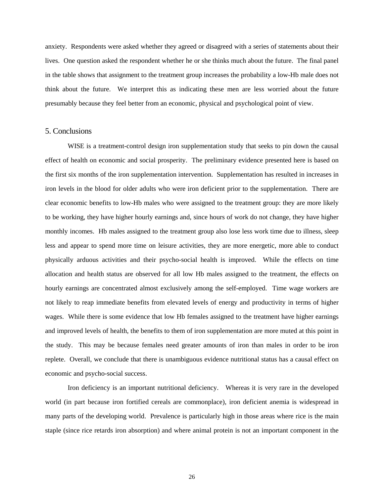anxiety. Respondents were asked whether they agreed or disagreed with a series of statements about their lives. One question asked the respondent whether he or she thinks much about the future. The final panel in the table shows that assignment to the treatment group increases the probability a low-Hb male does not think about the future. We interpret this as indicating these men are less worried about the future presumably because they feel better from an economic, physical and psychological point of view.

#### 5. Conclusions

WISE is a treatment-control design iron supplementation study that seeks to pin down the causal effect of health on economic and social prosperity. The preliminary evidence presented here is based on the first six months of the iron supplementation intervention. Supplementation has resulted in increases in iron levels in the blood for older adults who were iron deficient prior to the supplementation. There are clear economic benefits to low-Hb males who were assigned to the treatment group: they are more likely to be working, they have higher hourly earnings and, since hours of work do not change, they have higher monthly incomes. Hb males assigned to the treatment group also lose less work time due to illness, sleep less and appear to spend more time on leisure activities, they are more energetic, more able to conduct physically arduous activities and their psycho-social health is improved. While the effects on time allocation and health status are observed for all low Hb males assigned to the treatment, the effects on hourly earnings are concentrated almost exclusively among the self-employed. Time wage workers are not likely to reap immediate benefits from elevated levels of energy and productivity in terms of higher wages. While there is some evidence that low Hb females assigned to the treatment have higher earnings and improved levels of health, the benefits to them of iron supplementation are more muted at this point in the study. This may be because females need greater amounts of iron than males in order to be iron replete. Overall, we conclude that there is unambiguous evidence nutritional status has a causal effect on economic and psycho-social success.

Iron deficiency is an important nutritional deficiency. Whereas it is very rare in the developed world (in part because iron fortified cereals are commonplace), iron deficient anemia is widespread in many parts of the developing world. Prevalence is particularly high in those areas where rice is the main staple (since rice retards iron absorption) and where animal protein is not an important component in the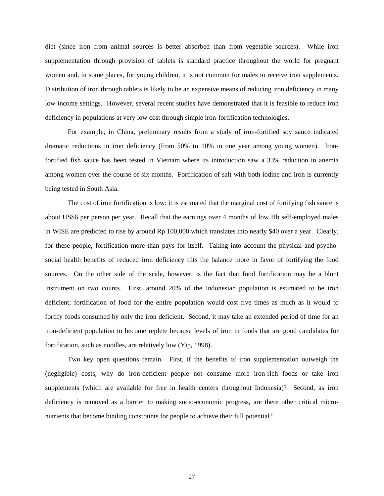diet (since iron from animal sources is better absorbed than from vegetable sources). While iron supplementation through provision of tablets is standard practice throughout the world for pregnant women and, in some places, for young children, it is not common for males to receive iron supplements. Distribution of iron through tablets is likely to be an expensive means of reducing iron deficiency in many low income settings. However, several recent studies have demonstrated that it is feasible to reduce iron deficiency in populations at very low cost through simple iron-fortification technologies.

For example, in China, preliminary results from a study of iron-fortified soy sauce indicated dramatic reductions in iron deficiency (from 50% to 10% in one year among young women). Ironfortified fish sauce has been tested in Vietnam where its introduction saw a 33% reduction in anemia among women over the course of six months. Fortification of salt with both iodine and iron is currently being tested in South Asia.

The cost of iron fortification is low: it is estimated that the marginal cost of fortifying fish sauce is about US\$6 per person per year. Recall that the earnings over 4 months of low Hb self-employed males in WISE are predicted to rise by around Rp 100,000 which translates into nearly \$40 over a year. Clearly, for these people, fortification more than pays for itself. Taking into account the physical and psychosocial health benefits of reduced iron deficiency tilts the balance more in favor of fortifying the food sources. On the other side of the scale, however, is the fact that food fortification may be a blunt instrument on two counts. First, around 20% of the Indonesian population is estimated to be iron deficient; fortification of food for the entire population would cost five times as much as it would to fortify foods consumed by only the iron deficient. Second, it may take an extended period of time for an iron-deficient population to become replete because levels of iron in foods that are good candidates for fortification, such as noodles, are relatively low (Yip, 1998).

Two key open questions remain. First, if the benefits of iron supplementation outweigh the (negligible) costs, why do iron-deficient people not consume more iron-rich foods or take iron supplements (which are available for free in health centers throughout Indonesia)? Second, as iron deficiency is removed as a barrier to making socio-economic progress, are there other critical micronutrients that become binding constraints for people to achieve their full potential?

27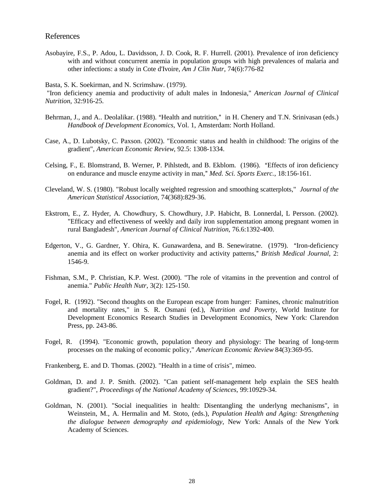#### References

Asobayire, F.S., P. Adou, L. Davidsson, J. D. Cook, R. F. Hurrell. (2001). Prevalence of iron deficiency with and without concurrent anemia in population groups with high prevalences of malaria and other infections: a study in Cote d'Ivoire, *Am J Clin Nutr,* 74(6):776-82

Basta, S. K. Soekirman, and N. Scrimshaw. (1979).

"Iron deficiency anemia and productivity of adult males in Indonesia," *American Journal of Clinical Nutrition*, 32:916-25.

- Behrman, J., and A.. Deolalikar. (1988). "Health and nutrition," in H. Chenery and T.N. Srinivasan (eds.) *Handbook of Development Economics*, Vol. 1, Amsterdam: North Holland.
- Case, A., D. Lubotsky, C. Paxson. (2002). "Economic status and health in childhood: The origins of the gradient", *American Economic Review*, 92.5: 1308-1334.
- Celsing, F., E. Blomstrand, B. Werner, P. Pihlstedt, and B. Ekblom. (1986). "Effects of iron deficiency on endurance and muscle enzyme activity in man," Med. Sci. Sports Exerc., 18:156-161.
- Cleveland, W. S. (1980). "Robust locally weighted regression and smoothing scatterplots," *Journal of the American Statistical Association*, 74(368):829-36.
- Ekstrom, E., Z. Hyder, A. Chowdhury, S. Chowdhury, J.P. Habicht, B. Lonnerdal, L Persson. (2002). "Efficacy and effectiveness of weekly and daily iron supplementation among pregnant women in rural Bangladesh", *American Journal of Clinical Nutrition,* 76.6:1392-400.
- Edgerton, V., G. Gardner, Y. Ohira, K. Gunawardena, and B. Senewiratne. (1979). "Iron-deficiency anemia and its effect on worker productivity and activity patterns," British Medical Journal, 2: 1546-9.
- Fishman, S.M., P. Christian, K.P. West. (2000). "The role of vitamins in the prevention and control of anemia." *Public Health Nutr*, 3(2): 125-150.
- Fogel, R. (1992). "Second thoughts on the European escape from hunger: Famines, chronic malnutrition and mortality rates," in S. R. Osmani (ed.), *Nutrition and Poverty*, World Institute for Development Economics Research Studies in Development Economics, New York: Clarendon Press, pp. 243-86.
- Fogel, R. (1994). "Economic growth, population theory and physiology: The bearing of long-term processes on the making of economic policy," *American Economic Review* 84(3):369-95.
- Frankenberg, E. and D. Thomas. (2002). "Health in a time of crisis", mimeo.
- Goldman, D. and J. P. Smith. (2002). "Can patient self-management help explain the SES health gradient?", *Proceedings of the National Academy of Sciences*, 99:10929-34.
- Goldman, N. (2001). "Social inequalities in health: Disentangling the underlyng mechanisms", in Weinstein, M., A. Hermalin and M. Stoto, (eds.), *Population Health and Aging: Strengthening the dialogue between demography and epidemiology*, New York: Annals of the New York Academy of Sciences.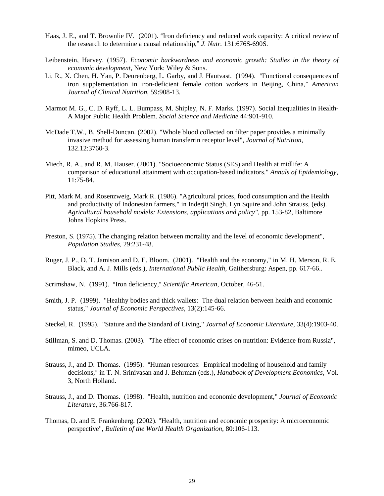- Haas, J. E., and T. Brownlie IV. (2001). "Iron deficiency and reduced work capacity: A critical review of the research to determine a causal relationship," J. Nutr. 131:676S-690S.
- Leibenstein, Harvey. (1957). *Economic backwardness and economic growth: Studies in the theory of economic development,* New York: Wiley & Sons.
- Li, R., X. Chen, H. Yan, P. Deurenberg, L. Garby, and J. Hautvast. (1994). "Functional consequences of iron supplementation in iron-deficient female cotton workers in Beijing, China," American *Journal of Clinical Nutrition*, 59:908-13.
- Marmot M. G., C. D. Ryff, L. L. Bumpass, M. Shipley, N. F. Marks. (1997). Social Inequalities in Health-A Major Public Health Problem. *Social Science and Medicine* 44:901-910.
- McDade T.W., B. Shell-Duncan. (2002). "Whole blood collected on filter paper provides a minimally invasive method for assessing human transferrin receptor level", *Journal of Nutrition*, 132.12:3760-3.
- Miech, R. A., and R. M. Hauser. (2001). "Socioeconomic Status (SES) and Health at midlife: A comparison of educational attainment with occupation-based indicators." *Annals of Epidemiology,* 11:75-84.
- Pitt, Mark M. and Rosenzweig, Mark R. (1986). "Agricultural prices, food consumption and the Health and productivity of Indonesian farmers," in Inderjit Singh, Lyn Squire and John Strauss, (eds). *Agricultural household models: Extensions, applications and policy",* pp. 153-82, Baltimore Johns Hopkins Press.
- Preston, S. (1975). The changing relation between mortality and the level of economic development", *Population Studies*, 29:231-48.
- Ruger, J. P., D. T. Jamison and D. E. Bloom. (2001). "Health and the economy," in M. H. Merson, R. E. Black, and A. J. Mills (eds.), *International Public Health*, Gaithersburg: Aspen, pp. 617-66..
- Scrimshaw, N. (1991). "Iron deficiency," Scientific American, October, 46-51.
- Smith, J. P. (1999). "Healthy bodies and thick wallets: The dual relation between health and economic status," *Journal of Economic Perspectives,* 13(2):145-66.
- Steckel, R. (1995). "Stature and the Standard of Living," *Journal of Economic Literature*, 33(4):1903-40.
- Stillman, S. and D. Thomas. (2003). "The effect of economic crises on nutrition: Evidence from Russia", mimeo, UCLA.
- Strauss, J., and D. Thomas. (1995). "Human resources: Empirical modeling of household and family decisions," in T. N. Srinivasan and J. Behrman (eds.), *Handbook of Development Economics*, Vol. 3, North Holland.
- Strauss, J., and D. Thomas. (1998). "Health, nutrition and economic development," *Journal of Economic Literature*, 36:766-817.
- Thomas, D. and E. Frankenberg. (2002). "Health, nutrition and economic prosperity: A microeconomic perspective", *Bulletin of the World Health Organization*, 80:106-113.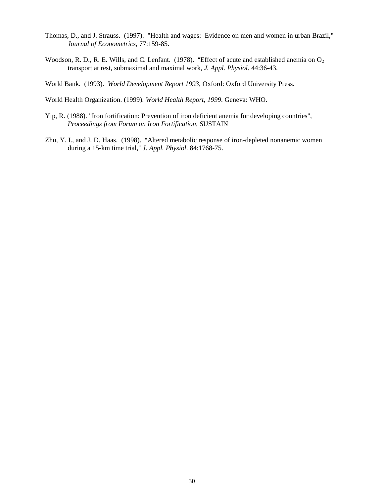- Thomas, D., and J. Strauss. (1997). "Health and wages: Evidence on men and women in urban Brazil," *Journal of Econometrics*, 77:159-85.
- Woodson, R. D., R. E. Wills, and C. Lenfant. (1978). "Effect of acute and established anemia on  $O_2$ transport at rest, submaximal and maximal work, *J. Appl. Physiol.* 44:36-43.

World Bank. (1993). *World Development Report 1993*, Oxford: Oxford University Press.

World Health Organization. (1999). *World Health Report, 1999*. Geneva: WHO.

- Yip, R. (1988). "Iron fortification: Prevention of iron deficient anemia for developing countries", *Proceedings from Forum on Iron Fortification*, SUSTAIN
- Zhu, Y. I., and J. D. Haas. (1998). "Altered metabolic response of iron-depleted nonanemic women during a 15-km time trial,- *J. Appl. Physiol*. 84:1768-75.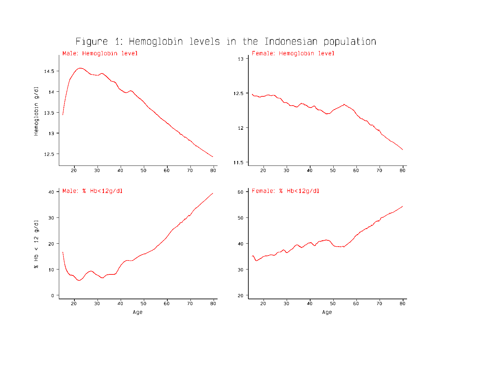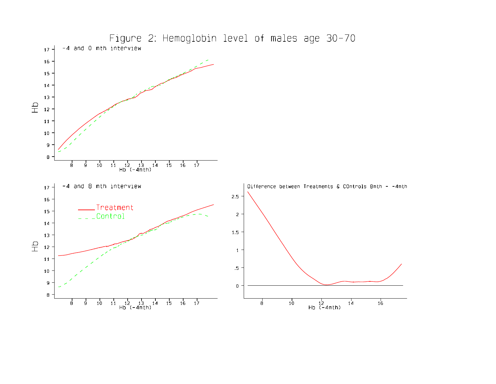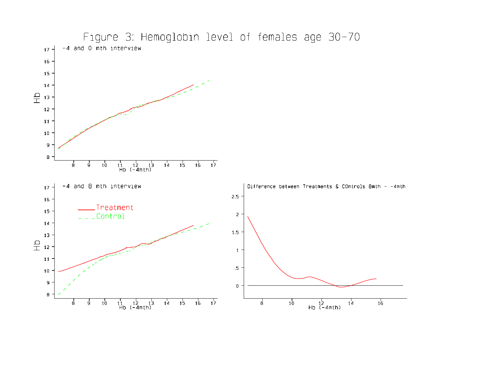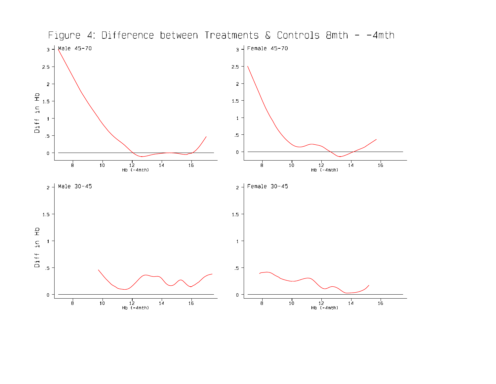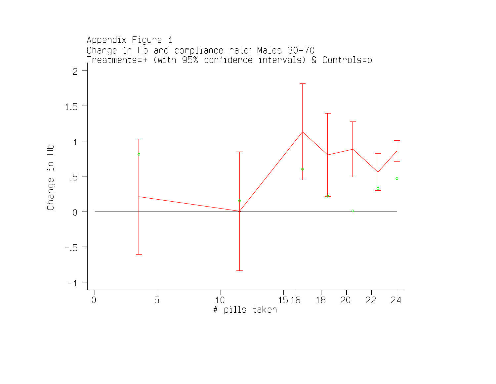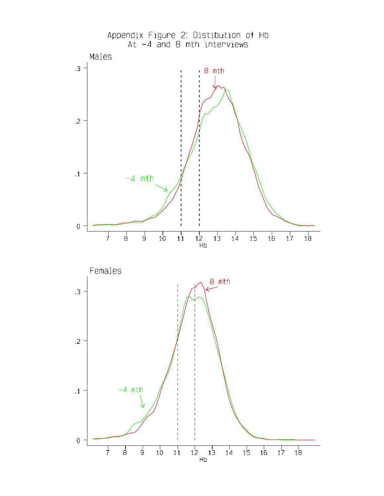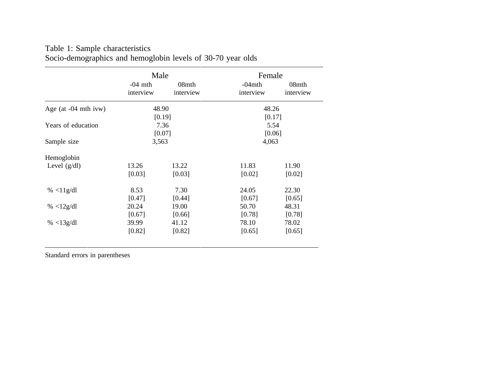|                            | Male      |           | Female    |           |
|----------------------------|-----------|-----------|-----------|-----------|
|                            | $-04$ mth | 08mth     | $-04$ mth | 08mth     |
|                            | interview | interview | interview | interview |
| Age (at $-04$ mth ivw)     | 48.90     |           | 48.26     |           |
|                            |           | [0.19]    |           | [0.17]    |
| Years of education         |           | 7.36      |           | 5.54      |
|                            |           | [0.07]    |           | [0.06]    |
| Sample size                | 3,563     |           | 4,063     |           |
| Hemoglobin                 |           |           |           |           |
| Level $(g/dl)$             | 13.26     | 13.22     | 11.83     | 11.90     |
|                            | [0.03]    | [0.03]    | [0.02]    | [0.02]    |
| % $<$ 11g/dl               | 8.53      | 7.30      | 24.05     | 22.30     |
|                            | [0.47]    | [0.44]    | [0.67]    | [0.65]    |
| % $\langle 12g/dl \rangle$ | 20.24     | 19.00     | 50.70     | 48.31     |
|                            | [0.67]    | [0.66]    | [0.78]    | [0.78]    |
| % <13g/dl                  | 39.99     | 41.12     | 78.10     | 78.02     |
|                            | [0.82]    | [0.82]    | [0.65]    | [0.65]    |

## Table 1: Sample characteristics Socio-demographics and hemoglobin levels of 30-70 year olds

Standard errors in parentheses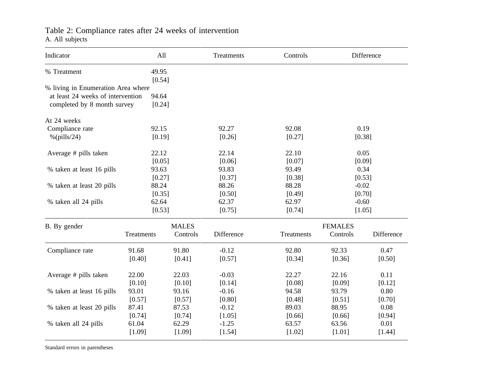### Table 2: Compliance rates after 24 weeks of intervention A. All subjects

| 49.95<br>[0.54]<br>% living in Enumeration Area where<br>at least 24 weeks of intervention<br>94.64<br>completed by 8 month survey<br>[0.24]<br>0.19<br>92.15<br>92.27<br>92.08<br>$%$ (pills/24)<br>[0.19]<br>[0.26]<br>[0.27]<br>[0.38]<br>0.05<br>22.12<br>22.14<br>22.10<br>[0.05]<br>[0.06]<br>[0.07]<br>[0.09]<br>93.83<br>0.34<br>% taken at least 16 pills<br>93.63<br>93.49<br>[0.27]<br>[0.37]<br>[0.38]<br>[0.53]<br>% taken at least 20 pills<br>88.24<br>88.26<br>88.28<br>$-0.02$<br>[0.35]<br>[0.50]<br>[0.70]<br>[0.49]<br>62.97<br>$-0.60$<br>62.64<br>62.37<br>[0.53]<br>[0.75]<br>[0.74]<br>[1.05]<br><b>MALES</b><br><b>FEMALES</b><br>Difference<br>Difference<br>Controls<br>Controls<br>Treatments<br>Treatments<br>91.80<br>$-0.12$<br>91.68<br>92.80<br>92.33<br>0.47<br>[0.40]<br>[0.41]<br>[0.57]<br>[0.34]<br>[0.36]<br>[0.50]<br>22.00<br>22.03<br>$-0.03$<br>22.27<br>22.16<br>0.11<br>[0.10]<br>[0.10]<br>[0.14]<br>[0.08]<br>[0.09]<br>[0.12]<br>93.01<br>93.16<br>$-0.16$<br>94.58<br>93.79<br>0.80<br>[0.57]<br>[0.80]<br>[0.51]<br>[0.70]<br>[0.57]<br>[0.48]<br>% taken at least 20 pills<br>87.41<br>87.53<br>$-0.12$<br>89.03<br>88.95<br>0.08<br>[0.74]<br>[0.74]<br>[1.05]<br>[0.66]<br>[0.94]<br>[0.66]<br>62.29<br>$-1.25$<br>0.01<br>% taken all 24 pills<br>61.04<br>63.57<br>63.56 | Indicator                 | All    |        | Treatments | Controls |          | Difference |
|---------------------------------------------------------------------------------------------------------------------------------------------------------------------------------------------------------------------------------------------------------------------------------------------------------------------------------------------------------------------------------------------------------------------------------------------------------------------------------------------------------------------------------------------------------------------------------------------------------------------------------------------------------------------------------------------------------------------------------------------------------------------------------------------------------------------------------------------------------------------------------------------------------------------------------------------------------------------------------------------------------------------------------------------------------------------------------------------------------------------------------------------------------------------------------------------------------------------------------------------------------------------------------------------------------------------------------|---------------------------|--------|--------|------------|----------|----------|------------|
|                                                                                                                                                                                                                                                                                                                                                                                                                                                                                                                                                                                                                                                                                                                                                                                                                                                                                                                                                                                                                                                                                                                                                                                                                                                                                                                                 | % Treatment               |        |        |            |          |          |            |
|                                                                                                                                                                                                                                                                                                                                                                                                                                                                                                                                                                                                                                                                                                                                                                                                                                                                                                                                                                                                                                                                                                                                                                                                                                                                                                                                 |                           |        |        |            |          |          |            |
|                                                                                                                                                                                                                                                                                                                                                                                                                                                                                                                                                                                                                                                                                                                                                                                                                                                                                                                                                                                                                                                                                                                                                                                                                                                                                                                                 |                           |        |        |            |          |          |            |
|                                                                                                                                                                                                                                                                                                                                                                                                                                                                                                                                                                                                                                                                                                                                                                                                                                                                                                                                                                                                                                                                                                                                                                                                                                                                                                                                 |                           |        |        |            |          |          |            |
|                                                                                                                                                                                                                                                                                                                                                                                                                                                                                                                                                                                                                                                                                                                                                                                                                                                                                                                                                                                                                                                                                                                                                                                                                                                                                                                                 | At 24 weeks               |        |        |            |          |          |            |
|                                                                                                                                                                                                                                                                                                                                                                                                                                                                                                                                                                                                                                                                                                                                                                                                                                                                                                                                                                                                                                                                                                                                                                                                                                                                                                                                 | Compliance rate           |        |        |            |          |          |            |
|                                                                                                                                                                                                                                                                                                                                                                                                                                                                                                                                                                                                                                                                                                                                                                                                                                                                                                                                                                                                                                                                                                                                                                                                                                                                                                                                 |                           |        |        |            |          |          |            |
|                                                                                                                                                                                                                                                                                                                                                                                                                                                                                                                                                                                                                                                                                                                                                                                                                                                                                                                                                                                                                                                                                                                                                                                                                                                                                                                                 | Average # pills taken     |        |        |            |          |          |            |
|                                                                                                                                                                                                                                                                                                                                                                                                                                                                                                                                                                                                                                                                                                                                                                                                                                                                                                                                                                                                                                                                                                                                                                                                                                                                                                                                 |                           |        |        |            |          |          |            |
|                                                                                                                                                                                                                                                                                                                                                                                                                                                                                                                                                                                                                                                                                                                                                                                                                                                                                                                                                                                                                                                                                                                                                                                                                                                                                                                                 |                           |        |        |            |          |          |            |
|                                                                                                                                                                                                                                                                                                                                                                                                                                                                                                                                                                                                                                                                                                                                                                                                                                                                                                                                                                                                                                                                                                                                                                                                                                                                                                                                 |                           |        |        |            |          |          |            |
|                                                                                                                                                                                                                                                                                                                                                                                                                                                                                                                                                                                                                                                                                                                                                                                                                                                                                                                                                                                                                                                                                                                                                                                                                                                                                                                                 |                           |        |        |            |          |          |            |
|                                                                                                                                                                                                                                                                                                                                                                                                                                                                                                                                                                                                                                                                                                                                                                                                                                                                                                                                                                                                                                                                                                                                                                                                                                                                                                                                 |                           |        |        |            |          |          |            |
|                                                                                                                                                                                                                                                                                                                                                                                                                                                                                                                                                                                                                                                                                                                                                                                                                                                                                                                                                                                                                                                                                                                                                                                                                                                                                                                                 | % taken all 24 pills      |        |        |            |          |          |            |
|                                                                                                                                                                                                                                                                                                                                                                                                                                                                                                                                                                                                                                                                                                                                                                                                                                                                                                                                                                                                                                                                                                                                                                                                                                                                                                                                 |                           |        |        |            |          |          |            |
|                                                                                                                                                                                                                                                                                                                                                                                                                                                                                                                                                                                                                                                                                                                                                                                                                                                                                                                                                                                                                                                                                                                                                                                                                                                                                                                                 | B. By gender              |        |        |            |          |          |            |
|                                                                                                                                                                                                                                                                                                                                                                                                                                                                                                                                                                                                                                                                                                                                                                                                                                                                                                                                                                                                                                                                                                                                                                                                                                                                                                                                 |                           |        |        |            |          |          |            |
|                                                                                                                                                                                                                                                                                                                                                                                                                                                                                                                                                                                                                                                                                                                                                                                                                                                                                                                                                                                                                                                                                                                                                                                                                                                                                                                                 | Compliance rate           |        |        |            |          |          |            |
|                                                                                                                                                                                                                                                                                                                                                                                                                                                                                                                                                                                                                                                                                                                                                                                                                                                                                                                                                                                                                                                                                                                                                                                                                                                                                                                                 |                           |        |        |            |          |          |            |
|                                                                                                                                                                                                                                                                                                                                                                                                                                                                                                                                                                                                                                                                                                                                                                                                                                                                                                                                                                                                                                                                                                                                                                                                                                                                                                                                 | Average # pills taken     |        |        |            |          |          |            |
|                                                                                                                                                                                                                                                                                                                                                                                                                                                                                                                                                                                                                                                                                                                                                                                                                                                                                                                                                                                                                                                                                                                                                                                                                                                                                                                                 |                           |        |        |            |          |          |            |
|                                                                                                                                                                                                                                                                                                                                                                                                                                                                                                                                                                                                                                                                                                                                                                                                                                                                                                                                                                                                                                                                                                                                                                                                                                                                                                                                 | % taken at least 16 pills |        |        |            |          |          |            |
|                                                                                                                                                                                                                                                                                                                                                                                                                                                                                                                                                                                                                                                                                                                                                                                                                                                                                                                                                                                                                                                                                                                                                                                                                                                                                                                                 |                           |        |        |            |          |          |            |
|                                                                                                                                                                                                                                                                                                                                                                                                                                                                                                                                                                                                                                                                                                                                                                                                                                                                                                                                                                                                                                                                                                                                                                                                                                                                                                                                 |                           |        |        |            |          |          |            |
|                                                                                                                                                                                                                                                                                                                                                                                                                                                                                                                                                                                                                                                                                                                                                                                                                                                                                                                                                                                                                                                                                                                                                                                                                                                                                                                                 |                           |        |        |            |          |          |            |
|                                                                                                                                                                                                                                                                                                                                                                                                                                                                                                                                                                                                                                                                                                                                                                                                                                                                                                                                                                                                                                                                                                                                                                                                                                                                                                                                 |                           |        |        |            |          |          |            |
|                                                                                                                                                                                                                                                                                                                                                                                                                                                                                                                                                                                                                                                                                                                                                                                                                                                                                                                                                                                                                                                                                                                                                                                                                                                                                                                                 |                           | [1.09] | [1.09] | [1.54]     | [1.02]   | $[1.01]$ | [1.44]     |

Standard errors in parentheses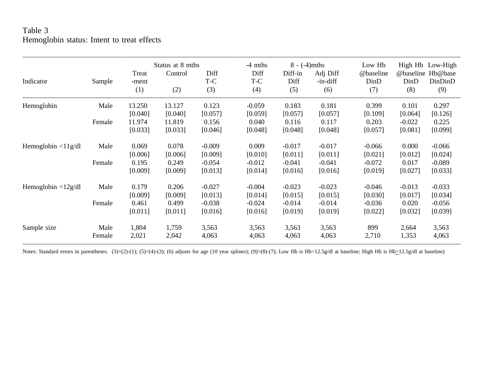## Table 3 Hemoglobin status: Intent to treat effects

|                             |        |                | Status at 8 mths |             | $-4$ mths   | $8 - (-4)$ mths |                      | Low Hb            | High Hb           | Low-High           |
|-----------------------------|--------|----------------|------------------|-------------|-------------|-----------------|----------------------|-------------------|-------------------|--------------------|
| Indicator                   | Sample | Treat<br>-ment | Control          | Diff<br>T-C | Diff<br>T-C | Diff-in<br>Diff | Adj Diff<br>-in-diff | @baseline<br>DinD | @baseline<br>DinD | Hb@base<br>DinDinD |
|                             |        | (1)            | (2)              | (3)         | (4)         | (5)             | (6)                  | (7)               | (8)               | (9)                |
| Hemoglobin                  | Male   | 13.250         | 13.127           | 0.123       | $-0.059$    | 0.183           | 0.181                | 0.399             | 0.101             | 0.297              |
|                             |        | [0.040]        | [0.040]          | [0.057]     | [0.059]     | [0.057]         | [0.057]              | [0.109]           | [0.064]           | [0.126]            |
|                             | Female | 11.974         | 11.819           | 0.156       | 0.040       | 0.116           | 0.117                | 0.203             | $-0.022$          | 0.225              |
|                             |        | [0.033]        | [0.033]          | [0.046]     | [0.048]     | [0.048]         | [0.048]              | [0.057]           | [0.081]           | [0.099]            |
| Hemoglobin $\langle 11g/dl$ | Male   | 0.069          | 0.078            | $-0.009$    | 0.009       | $-0.017$        | $-0.017$             | $-0.066$          | 0.000             | $-0.066$           |
|                             |        | [0.006]        | [0.006]          | [0.009]     | [0.010]     | [0.011]         | [0.011]              | [0.021]           | [0.012]           | [0.024]            |
|                             | Female | 0.195          | 0.249            | $-0.054$    | $-0.012$    | $-0.041$        | $-0.041$             | $-0.072$          | 0.017             | $-0.089$           |
|                             |        | [0.009]        | [0.009]          | [0.013]     | [0.014]     | [0.016]         | [0.016]              | [0.019]           | [0.027]           | [0.033]            |
| Hemoglobin $\langle 12g/dl$ | Male   | 0.179          | 0.206            | $-0.027$    | $-0.004$    | $-0.023$        | $-0.023$             | $-0.046$          | $-0.013$          | $-0.033$           |
|                             |        | [0.009]        | [0.009]          | [0.013]     | [0.014]     | [0.015]         | [0.015]              | [0.030]           | [0.017]           | [0.034]            |
|                             | Female | 0.461          | 0.499            | $-0.038$    | $-0.024$    | $-0.014$        | $-0.014$             | $-0.036$          | 0.020             | $-0.056$           |
|                             |        | [0.011]        | [0.011]          | [0.016]     | [0.016]     | [0.019]         | [0.019]              | [0.022]           | [0.032]           | [0.039]            |
| Sample size                 | Male   | 1,804          | 1,759            | 3,563       | 3,563       | 3,563           | 3,563                | 899               | 2,664             | 3,563              |
|                             | Female | 2,021          | 2,042            | 4,063       | 4,063       | 4,063           | 4,063                | 2,710             | 1,353             | 4,063              |

Notes: Standard errors in parentheses. (3)=(2)-(1); (5)=(4)-(3); (6) adjusts for age (10 year splines); (9)=(8)-(7); Low Hb is Hb<12.5g/dl at baseline; High Hb is Hb>12.5g/dl at baseline)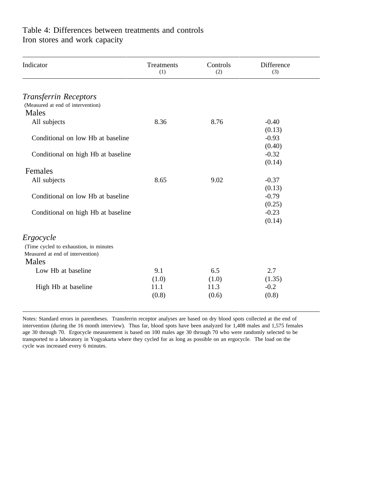## Table 4: Differences between treatments and controls Iron stores and work capacity

| Indicator                              | Treatments<br>(1) | Controls<br>(2) | Difference<br>(3) |  |
|----------------------------------------|-------------------|-----------------|-------------------|--|
| <b>Transferrin Receptors</b>           |                   |                 |                   |  |
| (Measured at end of intervention)      |                   |                 |                   |  |
| Males                                  |                   |                 |                   |  |
| All subjects                           | 8.36              | 8.76            | $-0.40$           |  |
|                                        |                   |                 | (0.13)            |  |
| Conditional on low Hb at baseline      |                   |                 | $-0.93$           |  |
|                                        |                   |                 | (0.40)            |  |
| Conditional on high Hb at baseline     |                   |                 | $-0.32$           |  |
|                                        |                   |                 | (0.14)            |  |
| Females                                |                   |                 |                   |  |
| All subjects                           | 8.65              | 9.02            | $-0.37$           |  |
|                                        |                   |                 | (0.13)            |  |
| Conditional on low Hb at baseline      |                   |                 | $-0.79$           |  |
|                                        |                   |                 | (0.25)            |  |
| Conditional on high Hb at baseline     |                   |                 | $-0.23$           |  |
|                                        |                   |                 | (0.14)            |  |
| Ergocycle                              |                   |                 |                   |  |
| (Time cycled to exhaustion, in minutes |                   |                 |                   |  |
| Measured at end of intervention)       |                   |                 |                   |  |
| Males                                  |                   |                 |                   |  |
| Low Hb at baseline                     | 9.1               | 6.5             | 2.7               |  |
|                                        | (1.0)             | (1.0)           | (1.35)            |  |
| High Hb at baseline                    | 11.1              | 11.3            | $-0.2$            |  |
|                                        | (0.8)             | (0.6)           | (0.8)             |  |
|                                        |                   |                 |                   |  |

Notes: Standard errors in parentheses. Transferrin receptor analyses are based on dry blood spots collected at the end of intervention (during the 16 month interview). Thus far, blood spots have been analyzed for 1,408 males and 1,575 females age 30 through 70. Ergocycle measurement is based on 100 males age 30 through 70 who were randomly selected to be transported to a laboratory in Yogyakarta where they cycled for as long as possible on an ergocycle. The load on the cycle was increased every 6 minutes.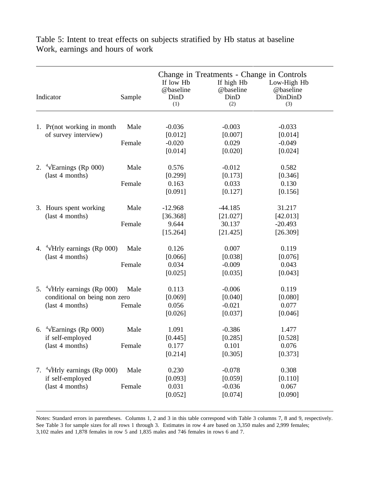| Low-High Hb<br>@baseline<br>DinDinD<br>(3)                                 | Change in Treatments - Change in Controls<br>If high Hb<br>@baseline<br>DinD<br>(2) | If low Hb<br>@baseline<br>DinD<br>(1)                                      | Indicator<br>Sample |                                                                                                                                                        |  |  |  |  |  |
|----------------------------------------------------------------------------|-------------------------------------------------------------------------------------|----------------------------------------------------------------------------|---------------------|--------------------------------------------------------------------------------------------------------------------------------------------------------|--|--|--|--|--|
|                                                                            |                                                                                     |                                                                            |                     |                                                                                                                                                        |  |  |  |  |  |
| $-0.033$                                                                   | $-0.003$                                                                            | $-0.036$                                                                   | Male                | 1. Pr(not working in month                                                                                                                             |  |  |  |  |  |
| $-0.049$                                                                   | 0.029                                                                               | $-0.020$                                                                   | Female              |                                                                                                                                                        |  |  |  |  |  |
| [0.024]                                                                    | [0.020]                                                                             | [0.014]                                                                    |                     |                                                                                                                                                        |  |  |  |  |  |
| 0.582                                                                      | $-0.012$                                                                            | 0.576                                                                      | Male                | 2. $\sqrt[4]{\text{Earnings}}$ (Rp 000)                                                                                                                |  |  |  |  |  |
| 0.130<br>[0.156]                                                           | 0.033<br>[0.127]                                                                    | 0.163<br>[0.091]                                                           | Female              |                                                                                                                                                        |  |  |  |  |  |
| 31.217                                                                     | $-44.185$                                                                           | $-12.968$                                                                  | Male                | 3. Hours spent working                                                                                                                                 |  |  |  |  |  |
| $-20.493$<br>[26.309]                                                      | 30.137<br>[21.425]                                                                  | 9.644<br>[15.264]                                                          | Female              |                                                                                                                                                        |  |  |  |  |  |
| 0.119                                                                      | 0.007                                                                               | 0.126                                                                      | Male                | 4. $4\sqrt{H}$ rly earnings (Rp 000)                                                                                                                   |  |  |  |  |  |
| 0.043<br>[0.043]                                                           | $-0.009$<br>[0.035]                                                                 | 0.034<br>[0.025]                                                           | Female              |                                                                                                                                                        |  |  |  |  |  |
| 0.119                                                                      | $-0.006$                                                                            | 0.113                                                                      | Male                | 5. $\sqrt[4]{\text{Hr}}$ earnings (Rp 000)                                                                                                             |  |  |  |  |  |
| 0.077<br>[0.046]                                                           | $-0.021$<br>[0.037]                                                                 | 0.056<br>[0.026]                                                           | Female              | (last 4 months)                                                                                                                                        |  |  |  |  |  |
| 1.477                                                                      | $-0.386$                                                                            | 1.091                                                                      | Male                | 6. $\sqrt[4]{\text{Earnings}}$ (Rp 000)                                                                                                                |  |  |  |  |  |
| 0.076<br>[0.373]                                                           | 0.101<br>[0.305]                                                                    | 0.177<br>[0.214]                                                           | Female              | (last 4 months)                                                                                                                                        |  |  |  |  |  |
| 0.308                                                                      | $-0.078$                                                                            | 0.230                                                                      | Male                | 7. $\sqrt[4]{\text{Hr}}$ earnings (Rp 000)                                                                                                             |  |  |  |  |  |
| 0.067<br>[0.090]                                                           | $-0.036$<br>[0.074]                                                                 | 0.031<br>[0.052]                                                           | Female              | (last 4 months)                                                                                                                                        |  |  |  |  |  |
| [0.014]<br>[0.346]<br>[42.013]<br>[0.076]<br>[0.080]<br>[0.528]<br>[0.110] | [0.007]<br>[0.173]<br>[21.027]<br>[0.038]<br>[0.040]<br>[0.285]<br>[0.059]          | [0.012]<br>[0.299]<br>[36.368]<br>[0.066]<br>[0.069]<br>[0.445]<br>[0.093] |                     | of survey interview)<br>(last 4 months)<br>(last 4 months)<br>(last 4 months)<br>conditional on being non zero<br>if self-employed<br>if self-employed |  |  |  |  |  |

Table 5: Intent to treat effects on subjects stratified by Hb status at baseline Work, earnings and hours of work

Notes: Standard errors in parentheses. Columns 1, 2 and 3 in this table correspond with Table 3 columns 7, 8 and 9, respectively. See Table 3 for sample sizes for all rows 1 through 3. Estimates in row 4 are based on 3,350 males and 2,999 females; 3,102 males and 1,878 females in row 5 and 1,835 males and 746 females in rows 6 and 7.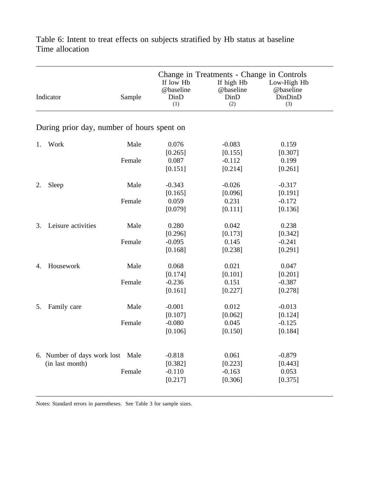|    | Indicator                                  | Sample | If low Hb<br>@baseline<br>$D$ in $D$<br>(1) | Change in Treatments - Change in Controls<br>If high Hb<br>@baseline<br>DinD<br>(2) | Low-High Hb<br>@baseline<br>DinDinD<br>(3) |
|----|--------------------------------------------|--------|---------------------------------------------|-------------------------------------------------------------------------------------|--------------------------------------------|
|    | During prior day, number of hours spent on |        |                                             |                                                                                     |                                            |
| 1. | Work                                       | Male   | 0.076                                       | $-0.083$                                                                            | 0.159                                      |
|    |                                            |        | [0.265]                                     | [0.155]                                                                             | [0.307]                                    |
|    |                                            | Female | 0.087                                       | $-0.112$                                                                            | 0.199                                      |
|    |                                            |        | [0.151]                                     | [0.214]                                                                             | [0.261]                                    |
| 2. | Sleep                                      | Male   | $-0.343$                                    | $-0.026$                                                                            | $-0.317$                                   |
|    |                                            |        | [0.165]                                     | [0.096]                                                                             | [0.191]                                    |
|    |                                            | Female | 0.059                                       | 0.231                                                                               | $-0.172$                                   |
|    |                                            |        | [0.079]                                     | [0.111]                                                                             | [0.136]                                    |
| 3. | Leisure activities                         | Male   | 0.280                                       | 0.042                                                                               | 0.238                                      |
|    |                                            |        | [0.296]                                     | [0.173]                                                                             | [0.342]                                    |
|    |                                            | Female | $-0.095$                                    | 0.145                                                                               | $-0.241$                                   |
|    |                                            |        | [0.168]                                     | [0.238]                                                                             | [0.291]                                    |
| 4. | Housework                                  | Male   | 0.068                                       | 0.021                                                                               | 0.047                                      |
|    |                                            |        | [0.174]                                     | [0.101]                                                                             | [0.201]                                    |
|    |                                            | Female | $-0.236$                                    | 0.151                                                                               | $-0.387$                                   |
|    |                                            |        | [0.161]                                     | [0.227]                                                                             | [0.278]                                    |
| 5. | Family care                                | Male   | $-0.001$                                    | 0.012                                                                               | $-0.013$                                   |
|    |                                            |        | [0.107]                                     | [0.062]                                                                             | [0.124]                                    |
|    |                                            | Female | $-0.080$                                    | 0.045                                                                               | $-0.125$                                   |
|    |                                            |        | [0.106]                                     | [0.150]                                                                             | [0.184]                                    |
|    |                                            |        |                                             |                                                                                     |                                            |
|    | 6. Number of days work lost Male           |        | $-0.818$                                    | 0.061                                                                               | $-0.879$                                   |
|    | (in last month)                            |        | [0.382]                                     | [0.223]                                                                             | [0.443]                                    |
|    |                                            | Female | $-0.110$                                    | $-0.163$                                                                            | 0.053                                      |
|    |                                            |        | [0.217]                                     | [0.306]                                                                             | [0.375]                                    |
|    |                                            |        |                                             |                                                                                     |                                            |

Table 6: Intent to treat effects on subjects stratified by Hb status at baseline Time allocation

Notes: Standard errors in parentheses. See Table 3 for sample sizes.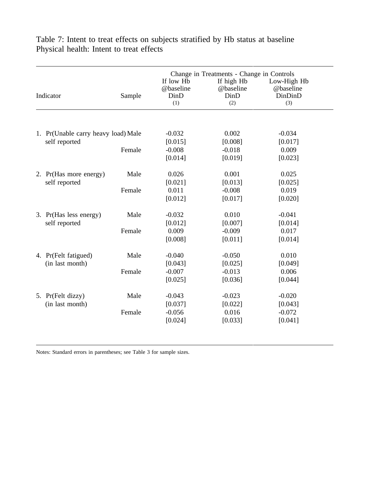|                 | Sample                                                                                                                                                          | If low Hb<br>@baseline<br>DinD<br>(1)         | If high Hb<br>@baseline<br>DinD<br>(2) | Low-High Hb<br>@baseline<br>DinDinD<br>(3) |                                                                           |
|-----------------|-----------------------------------------------------------------------------------------------------------------------------------------------------------------|-----------------------------------------------|----------------------------------------|--------------------------------------------|---------------------------------------------------------------------------|
|                 |                                                                                                                                                                 |                                               |                                        |                                            |                                                                           |
|                 |                                                                                                                                                                 |                                               |                                        |                                            |                                                                           |
|                 |                                                                                                                                                                 |                                               |                                        |                                            |                                                                           |
|                 |                                                                                                                                                                 | [0.014]                                       | [0.019]                                | [0.023]                                    |                                                                           |
|                 | Male                                                                                                                                                            | 0.026                                         | 0.001                                  | 0.025                                      |                                                                           |
|                 |                                                                                                                                                                 | [0.021]                                       | [0.013]                                | [0.025]                                    |                                                                           |
|                 | Female                                                                                                                                                          | 0.011                                         | $-0.008$                               | 0.019                                      |                                                                           |
|                 |                                                                                                                                                                 | [0.012]                                       | [0.017]                                | [0.020]                                    |                                                                           |
|                 | Male                                                                                                                                                            | $-0.032$                                      | 0.010                                  | $-0.041$                                   |                                                                           |
| self reported   |                                                                                                                                                                 | [0.012]                                       | [0.007]                                | [0.014]                                    |                                                                           |
|                 | Female                                                                                                                                                          | 0.009                                         | $-0.009$                               | 0.017                                      |                                                                           |
|                 |                                                                                                                                                                 | [0.008]                                       | [0.011]                                | [0.014]                                    |                                                                           |
|                 | Male                                                                                                                                                            | $-0.040$                                      | $-0.050$                               | 0.010                                      |                                                                           |
|                 |                                                                                                                                                                 | [0.043]                                       | [0.025]                                | [0.049]                                    |                                                                           |
|                 | Female                                                                                                                                                          | $-0.007$                                      | $-0.013$                               | 0.006                                      |                                                                           |
|                 |                                                                                                                                                                 | [0.025]                                       | [0.036]                                | [0.044]                                    |                                                                           |
|                 | Male                                                                                                                                                            | $-0.043$                                      | $-0.023$                               | $-0.020$                                   |                                                                           |
| (in last month) |                                                                                                                                                                 | [0.037]                                       | [0.022]                                | [0.043]                                    |                                                                           |
|                 | Female                                                                                                                                                          | $-0.056$                                      | 0.016                                  | $-0.072$                                   |                                                                           |
|                 |                                                                                                                                                                 | [0.024]                                       | [0.033]                                | [0.041]                                    |                                                                           |
|                 | Indicator<br>self reported<br>2. Pr(Has more energy)<br>self reported<br>3. Pr(Has less energy)<br>4. Pr(Felt fatigued)<br>(in last month)<br>5. Pr(Felt dizzy) | 1. Pr(Unable carry heavy load) Male<br>Female | $-0.032$<br>[0.015]<br>$-0.008$        | 0.002<br>[0.008]<br>$-0.018$               | Change in Treatments - Change in Controls<br>$-0.034$<br>[0.017]<br>0.009 |

Table 7: Intent to treat effects on subjects stratified by Hb status at baseline Physical health: Intent to treat effects

Notes: Standard errors in parentheses; see Table 3 for sample sizes.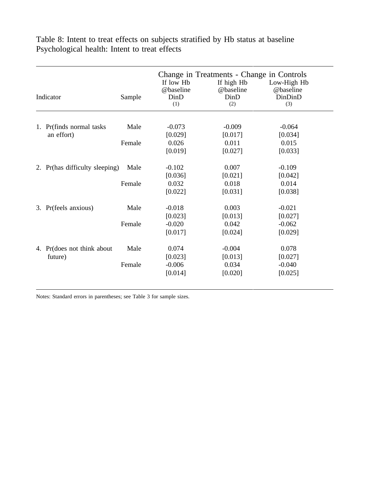Change in Treatments - Change in Controls If low Hb If high Hb Low-High Hb @baseline @baseline @baseline Indicator Sample DinD DinD DinDinD (1)  $(2)$   $(3)$ 1. Pr(finds normal tasks Male  $-0.073$  -0.009 -0.064 an effort) [0.029] [0.017] [0.034] Female  $0.026$  0.011 0.015  $[0.019]$   $[0.027]$   $[0.033]$ 2. Pr(has difficulty sleeping) Male  $-0.102$  0.007  $-0.109$  $[0.036]$   $[0.021]$   $[0.042]$ Female  $0.032$  0.018 0.014  $[0.022]$   $[0.031]$   $[0.038]$ 3. Pr(feels anxious) Male  $-0.018$  0.003  $-0.021$  $[0.023]$   $[0.013]$   $[0.027]$ Female  $-0.020$   $0.042$   $-0.062$  $[0.017]$   $[0.024]$   $[0.029]$ 4. Pr(does not think about Male  $0.074$  -0.004 0.078 future) [0.023] [0.013] [0.027] Female -0.006 0.034 -0.040  $[0.014]$   $[0.020]$   $[0.025]$ 

Table 8: Intent to treat effects on subjects stratified by Hb status at baseline Psychological health: Intent to treat effects

Notes: Standard errors in parentheses; see Table 3 for sample sizes.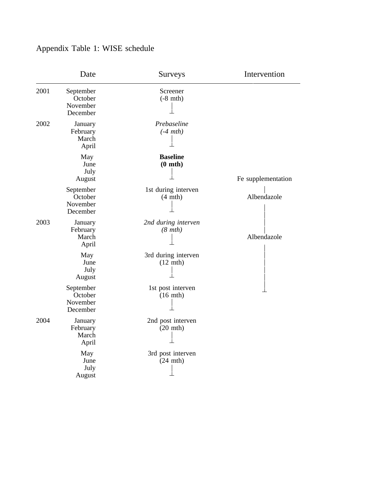# Appendix Table 1: WISE schedule

|      | Date                                         | Surveys                                   | Intervention       |
|------|----------------------------------------------|-------------------------------------------|--------------------|
| 2001 | September<br>October<br>November<br>December | Screener<br>$(-8$ mth)                    |                    |
| 2002 | January<br>February<br>March<br>April        | Prebaseline<br>$(-4 mth)$                 |                    |
|      | May<br>June<br>July<br>August                | <b>Baseline</b><br>$(0$ mth $)$           | Fe supplementation |
|      | September<br>October<br>November<br>December | 1st during interven<br>$(4 \text{ mth})$  | Albendazole        |
| 2003 | January<br>February<br>March<br>April        | 2nd during interven<br>$(8 \text{ mth})$  | Albendazole        |
|      | May<br>June<br>July<br>August                | 3rd during interven<br>$(12 \text{ mth})$ |                    |
|      | September<br>October<br>November<br>December | 1st post interven<br>$(16 \text{ mth})$   |                    |
| 2004 | January<br>February<br>March<br>April        | 2nd post interven<br>$(20$ mth)           |                    |
|      | May<br>June<br>July<br>August                | 3rd post interven<br>$(24$ mth)           |                    |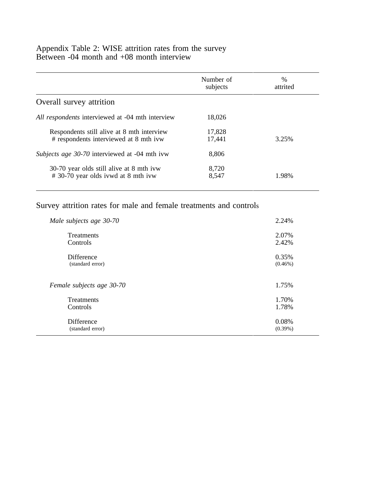## Appendix Table 2: WISE attrition rates from the survey Between -04 month and +08 month interview

|                                                      | Number of<br>subjects | $\frac{0}{0}$<br>attrited |
|------------------------------------------------------|-----------------------|---------------------------|
| Overall survey attrition                             |                       |                           |
| All respondents interviewed at -04 mth interview     | 18,026                |                           |
| Respondents still alive at 8 mth interview           | 17,828                |                           |
| # respondents interviewed at 8 mth ivw               | 17,441                | 3.25%                     |
| <i>Subjects age 30-70</i> interviewed at -04 mth ivw | 8,806                 |                           |
| 30-70 year olds still alive at 8 mth ivw             | 8,720                 |                           |
| #30-70 year olds ivwd at 8 mth ivw                   | 8,547                 | 1.98%                     |

## Survey attrition rates for male and female treatments and controls

| Male subjects age 30-70   | 2.24%      |
|---------------------------|------------|
| <b>Treatments</b>         | 2.07%      |
| Controls                  | 2.42%      |
| <b>Difference</b>         | 0.35%      |
| (standard error)          | $(0.46\%)$ |
|                           |            |
| Female subjects age 30-70 | 1.75%      |
| <b>Treatments</b>         | 1.70%      |
| Controls                  | 1.78%      |
| <b>Difference</b>         | 0.08%      |
| (standard error)          | $(0.39\%)$ |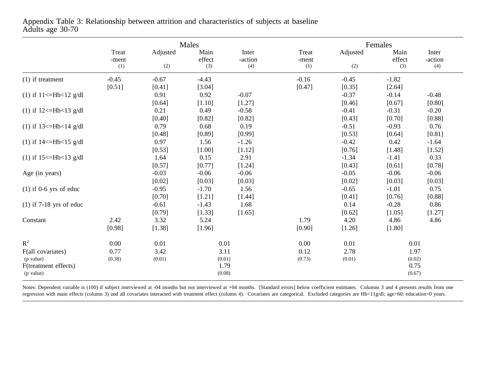|                                                                              |                        |                        | Males                                    |                         |                        | Females                |                                          |                         |  |
|------------------------------------------------------------------------------|------------------------|------------------------|------------------------------------------|-------------------------|------------------------|------------------------|------------------------------------------|-------------------------|--|
|                                                                              | Treat<br>-ment<br>(1)  | Adjusted<br>(2)        | Main<br>effect<br>(3)                    | Inter<br>-action<br>(4) | Treat<br>-ment<br>(1)  | Adjusted<br>(2)        | Main<br>effect<br>(3)                    | Inter<br>-action<br>(4) |  |
| $(1)$ if treatment                                                           | $-0.45$<br>[0.51]      | $-0.67$<br>[0.41]      | $-4.43$<br>[3.04]                        |                         | $-0.16$<br>[0.47]      | $-0.45$<br>[0.35]      | $-1.82$<br>[2.64]                        |                         |  |
| (1) if $11 \leq Hb < 12$ g/dl                                                |                        | 0.91<br>[0.64]         | 0.92<br>[1.10]                           | $-0.07$<br>[1.27]       |                        | $-0.37$<br>[0.46]      | $-0.14$<br>[0.67]                        | $-0.48$<br>[0.80]       |  |
| (1) if $12 \leq Hb \leq 13$ g/dl                                             |                        | 0.21<br>[0.40]         | 0.49<br>[0.82]                           | $-0.58$<br>[0.82]       |                        | $-0.41$<br>[0.43]      | $-0.31$<br>[0.70]                        | $-0.20$<br>[0.88]       |  |
| (1) if $13 \leq Hb \leq 14$ g/dl                                             |                        | 0.79<br>[0.48]         | 0.68<br>[0.89]                           | 0.19<br>[0.99]          |                        | $-0.51$<br>[0.53]      | $-0.93$<br>[0.64]                        | 0.76<br>[0.81]          |  |
| (1) if $14 \leq Hb < 15$ g/dl                                                |                        | 0.97<br>[0.53]         | 1.56<br>[1.00]                           | $-1.26$<br>[1.12]       |                        | $-0.42$<br>[0.76]      | 0.42<br>[1.48]                           | $-1.64$<br>[1.52]       |  |
| (1) if $15 \leq Hb \leq 13$ g/dl                                             |                        | 1.64<br>[0.57]         | 0.15<br>[0.77]                           | 2.91<br>[1.24]          |                        | $-1.34$<br>[0.43]      | $-1.41$<br>[0.61]                        | 0.33<br>[0.78]          |  |
| Age (in years)                                                               |                        | $-0.03$<br>[0.02]      | $-0.06$<br>[0.03]                        | $-0.06$<br>[0.03]       |                        | $-0.05$<br>[0.02]      | $-0.06$<br>[0.03]                        | $-0.06$<br>[0.03]       |  |
| $(1)$ if 0-6 yrs of educ                                                     |                        | $-0.95$<br>[0.70]      | $-1.70$<br>[1.21]                        | 1.56<br>[1.44]          |                        | $-0.65$<br>[0.41]      | $-1.01$<br>[0.76]                        | 0.75<br>[0.88]          |  |
| $(1)$ if 7-18 yrs of educ                                                    |                        | $-0.61$<br>[0.79]      | $-1.43$<br>[1.33]                        | 1.68<br>[1.65]          |                        | 0.14<br>[0.62]         | $-0.28$<br>[1.05]                        | 0.86<br>[1.27]          |  |
| Constant                                                                     | 2.42<br>[0.98]         | 3.32<br>[1.38]         | 5.24<br>[1.96]                           |                         | 1.79<br>[0.90]         | 4.20<br>[1.26]         | 4.86<br>[1.80]                           | 4.86                    |  |
| $R^2$<br>F(all covariates)<br>(p value)<br>F(treatment effects)<br>(p value) | 0.00<br>0.77<br>(0.38) | 0.01<br>3.42<br>(0.01) | 0.01<br>3.11<br>(0.01)<br>1.79<br>(0.08) |                         | 0.00<br>0.12<br>(0.73) | 0.01<br>2.78<br>(0.01) | 0.01<br>1.97<br>(0.02)<br>0.75<br>(0.67) |                         |  |

Appendix Table 3: Relationship between attrition and characteristics of subjects at baseline Adults age 30-70

Notes: Dependent variable is (100) if subject interviewed at -04 months but not interviewed at +04 months. [Standard errors] below coefficient estimates. Columns 3 and 4 presents results from one regression with main effects (column 3) and all covariates interacted with treatment effect (column 4). Covariates are categorical. Excluded categories are Hb<11g/dl; age>60; education=0 years.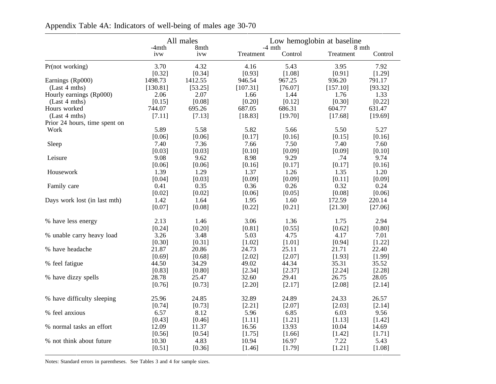|                               | All males<br>-4mth<br>8mth |         | Low hemoglobin at baseline<br>$-4$ mth<br>8 mth |         |           |         |  |
|-------------------------------|----------------------------|---------|-------------------------------------------------|---------|-----------|---------|--|
|                               | ivw                        | ivw     | Treatment                                       | Control | Treatment | Control |  |
| Pr(not working)               | 3.70                       | 4.32    | 4.16                                            | 5.43    | 3.95      | 7.92    |  |
|                               | [0.32]                     | [0.34]  | [0.93]                                          | [1.08]  | [0.91]    | [1.29]  |  |
| Earnings (Rp000)              | 1498.73                    | 1412.55 | 946.54                                          | 967.25  | 936.20    | 791.17  |  |
| (Last 4 mths)                 | [130.81]                   | [53.25] | [107.31]                                        | [76.07] | [157.10]  | [93.32] |  |
| Hourly earnings (Rp000)       | 2.06                       | 2.07    | 1.66                                            | 1.44    | 1.76      | 1.33    |  |
| (Last 4 mths)                 | [0.15]                     | [0.08]  | [0.20]                                          | [0.12]  | [0.30]    | [0.22]  |  |
| Hours worked                  | 744.07                     | 695.26  | 687.05                                          | 686.31  | 604.77    | 631.47  |  |
| (Last 4 mths)                 | [7.11]                     | [7.13]  | [18.83]                                         | [19.70] | [17.68]   | [19.69] |  |
| Prior 24 hours, time spent on |                            |         |                                                 |         |           |         |  |
| Work                          | 5.89                       | 5.58    | 5.82                                            | 5.66    | 5.50      | 5.27    |  |
|                               | [0.06]                     | [0.06]  | [0.17]                                          | [0.16]  | [0.15]    | [0.16]  |  |
| Sleep                         | 7.40                       | 7.36    | 7.66                                            | 7.50    | 7.40      | 7.60    |  |
|                               | [0.03]                     | [0.03]  | [0.10]                                          | [0.09]  | [0.09]    | [0.10]  |  |
| Leisure                       | 9.08                       | 9.62    | 8.98                                            | 9.29    | .74       | 9.74    |  |
|                               | [0.06]                     | [0.06]  | [0.16]                                          | [0.17]  | [0.17]    | [0.16]  |  |
| Housework                     | 1.39                       | 1.29    | 1.37                                            | 1.26    | 1.35      | 1.20    |  |
|                               | [0.04]                     | [0.03]  | [0.09]                                          | [0.09]  | [0.11]    | [0.09]  |  |
| Family care                   | 0.41                       | 0.35    | 0.36                                            | 0.26    | 0.32      | 0.24    |  |
|                               | [0.02]                     | [0.02]  | [0.06]                                          | [0.05]  | [0.08]    | [0.06]  |  |
| Days work lost (in last mth)  | 1.42                       | 1.64    | 1.95                                            | 1.60    | 172.59    | 220.14  |  |
|                               | [0.07]                     | [0.08]  | [0.22]                                          | [0.21]  | [21.30]   | [27.06] |  |
| % have less energy            | 2.13                       | 1.46    | 3.06                                            | 1.36    | 1.75      | 2.94    |  |
|                               | [0.24]                     | [0.20]  | [0.81]                                          | [0.55]  | [0.62]    | [0.80]  |  |
| % unable carry heavy load     | 3.26                       | 3.48    | 5.03                                            | 4.75    | 4.17      | 7.01    |  |
|                               | [0.30]                     | [0.31]  | [1.02]                                          | [1.01]  | [0.94]    | [1.22]  |  |
| % have headache               | 21.87                      | 20.86   | 24.73                                           | 25.11   | 21.71     | 22.40   |  |
|                               | [0.69]                     | [0.68]  | $[2.02]$                                        | [2.07]  | [1.93]    | [1.99]  |  |
| % feel fatigue                | 44.50                      | 34.29   | 49.02                                           | 44.34   | 35.31     | 35.52   |  |
|                               | [0.83]                     | [0.80]  | [2.34]                                          | [2.37]  | [2.24]    | [2.28]  |  |
| % have dizzy spells           | 28.78                      | 25.47   | 32.60                                           | 29.41   | 26.75     | 28.05   |  |
|                               | [0.76]                     | [0.73]  | [2.20]                                          | [2.17]  | [2.08]    | [2.14]  |  |
| % have difficulty sleeping    | 25.96                      | 24.85   | 32.89                                           | 24.89   | 24.33     | 26.57   |  |
|                               | [0.74]                     | [0.73]  | [2.21]                                          | [2.07]  | [2.03]    | [2.14]  |  |
| % feel anxious                | 6.57                       | 8.12    | 5.96                                            | 6.85    | 6.03      | 9.56    |  |
|                               | [0.43]                     | [0.46]  | [1.11]                                          | [1.21]  | [1.13]    | [1.42]  |  |
| % normal tasks an effort      | 12.09                      | 11.37   | 16.56                                           | 13.93   | 10.04     | 14.69   |  |
|                               | [0.56]                     | [0.54]  | [1.75]                                          | [1.66]  | [1.42]    | [1.71]  |  |
| % not think about future      | 10.30                      | 4.83    | 10.94                                           | 16.97   | 7.22      | 5.43    |  |
|                               | [0.51]                     | [0.36]  | [1.46]                                          | [1.79]  | [1.21]    | [1.08]  |  |
|                               |                            |         |                                                 |         |           |         |  |

Appendix Table 4A: Indicators of well-being of males age 30-70

Notes: Standard errors in parentheses. See Tables 3 and 4 for sample sizes.